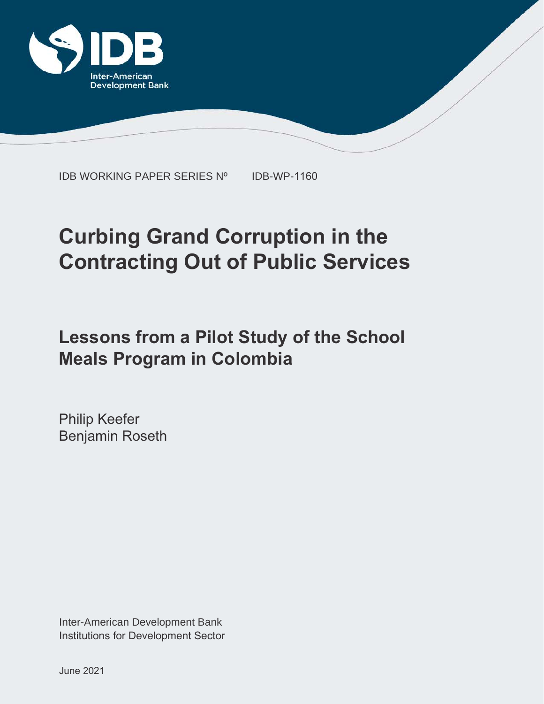

IDB WORKING PAPER SERIES Nº IDB-WP-1160

# **Curbing Grand Corruption in the Contracting Out of Public Services**

## **Lessons from a Pilot Study of the School Meals Program in Colombia**

Philip Keefer Benjamin Roseth

Inter-American Development Bank Institutions for Development Sector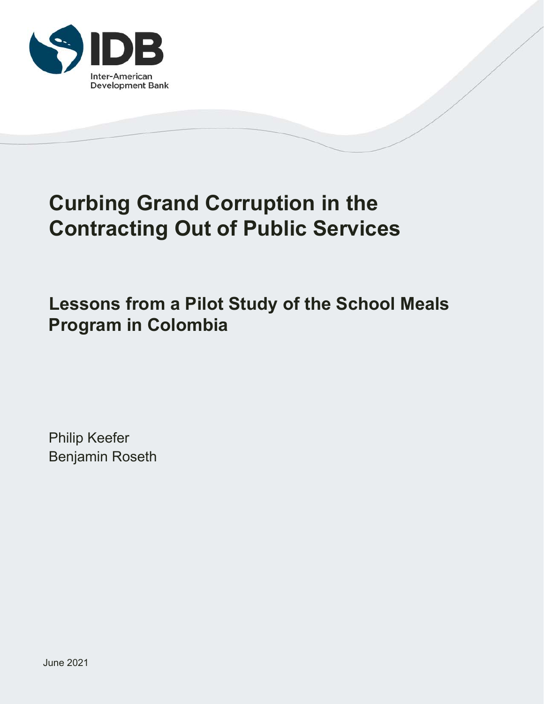

## **Curbing Grand Corruption in the Contracting Out of Public Services**

**Lessons from a Pilot Study of the School Meals Program in Colombia**

Philip Keefer Benjamin Roseth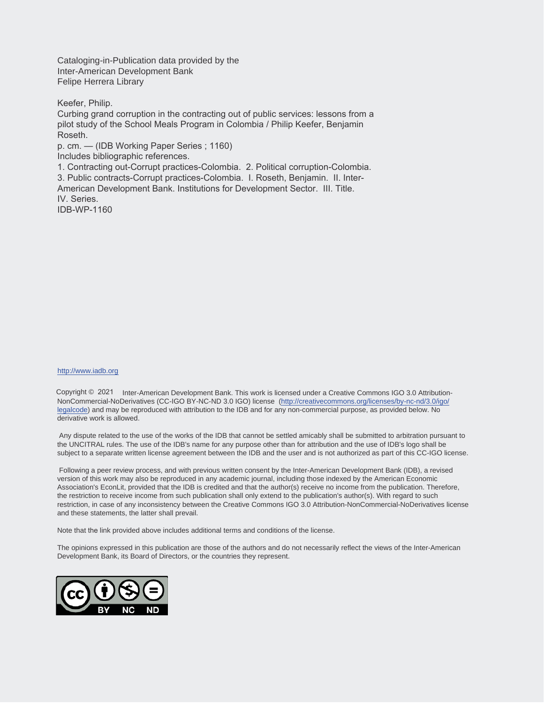Cataloging-in-Publication data provided by the Inter-American Development Bank Felipe Herrera Library

Keefer, Philip.

Curbing grand corruption in the contracting out of public services: lessons from a pilot study of the School Meals Program in Colombia / Philip Keefer, Benjamin Roseth.

p. cm. — (IDB Working Paper Series ; 1160)

Includes bibliographic references.

1. Contracting out-Corrupt practices-Colombia. 2. Political corruption-Colombia. 3. Public contracts-Corrupt practices-Colombia. I. Roseth, Benjamin. II. Inter-American Development Bank. Institutions for Development Sector. III. Title. IV. Series.

IDB-WP-1160

#### http://www.iadb.org

Copyright © 2021 Inter-American Development Bank. This work is licensed under a Creative Commons IGO 3.0 Attribution-NonCommercial-NoDerivatives (CC-IGO BY-NC-ND 3.0 IGO) license (http://creativecommons.org/licenses/by-nc-nd/3.0/igo/ legalcode) and may be reproduced with attribution to the IDB and for any non-commercial purpose, as provided below. No derivative work is allowed.

 Any dispute related to the use of the works of the IDB that cannot be settled amicably shall be submitted to arbitration pursuant to the UNCITRAL rules. The use of the IDB's name for any purpose other than for attribution and the use of IDB's logo shall be subject to a separate written license agreement between the IDB and the user and is not authorized as part of this CC-IGO license.

 Following a peer review process, and with previous written consent by the Inter-American Development Bank (IDB), a revised version of this work may also be reproduced in any academic journal, including those indexed by the American Economic Association's EconLit, provided that the IDB is credited and that the author(s) receive no income from the publication. Therefore, the restriction to receive income from such publication shall only extend to the publication's author(s). With regard to such restriction, in case of any inconsistency between the Creative Commons IGO 3.0 Attribution-NonCommercial-NoDerivatives license and these statements, the latter shall prevail.

Note that the link provided above includes additional terms and conditions of the license.

The opinions expressed in this publication are those of the authors and do not necessarily reflect the views of the Inter-American Development Bank, its Board of Directors, or the countries they represent.

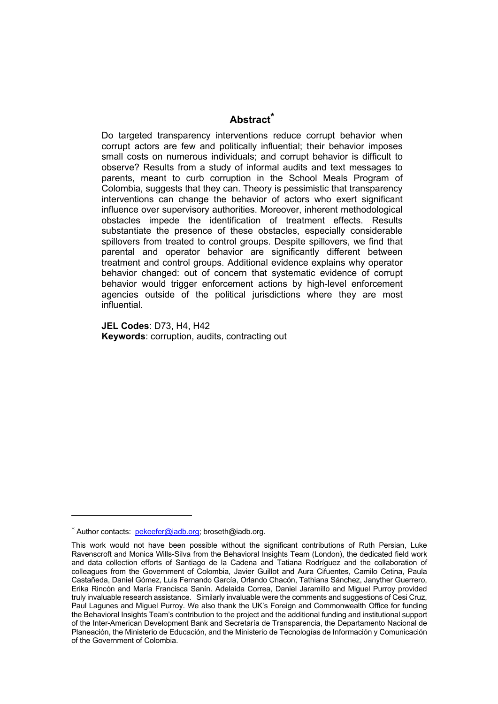#### **Abstract\***

Do targeted transparency interventions reduce corrupt behavior when corrupt actors are few and politically influential; their behavior imposes small costs on numerous individuals; and corrupt behavior is difficult to observe? Results from a study of informal audits and text messages to parents, meant to curb corruption in the School Meals Program of Colombia, suggests that they can. Theory is pessimistic that transparency interventions can change the behavior of actors who exert significant influence over supervisory authorities. Moreover, inherent methodological obstacles impede the identification of treatment effects. Results substantiate the presence of these obstacles, especially considerable spillovers from treated to control groups. Despite spillovers, we find that parental and operator behavior are significantly different between treatment and control groups. Additional evidence explains why operator behavior changed: out of concern that systematic evidence of corrupt behavior would trigger enforcement actions by high-level enforcement agencies outside of the political jurisdictions where they are most influential.

**JEL Codes**: D73, H4, H42 **Keywords**: corruption, audits, contracting out

<sup>\*</sup> Author contacts: pekeefer@iadb.org; broseth@iadb.org.

This work would not have been possible without the significant contributions of Ruth Persian, Luke Ravenscroft and Monica Wills-Silva from the Behavioral Insights Team (London), the dedicated field work and data collection efforts of Santiago de la Cadena and Tatiana Rodríguez and the collaboration of colleagues from the Government of Colombia, Javier Guillot and Aura Cifuentes, Camilo Cetina, Paula Castañeda, Daniel Gómez, Luis Fernando García, Orlando Chacón, Tathiana Sánchez, Janyther Guerrero, Erika Rincón and María Francisca Sanín. Adelaida Correa, Daniel Jaramillo and Miguel Purroy provided truly invaluable research assistance. Similarly invaluable were the comments and suggestions of Cesi Cruz, Paul Lagunes and Miguel Purroy. We also thank the UK's Foreign and Commonwealth Office for funding the Behavioral Insights Team's contribution to the project and the additional funding and institutional support of the Inter-American Development Bank and Secretaría de Transparencia, the Departamento Nacional de Planeación, the Ministerio de Educación, and the Ministerio de Tecnologías de Información y Comunicación of the Government of Colombia.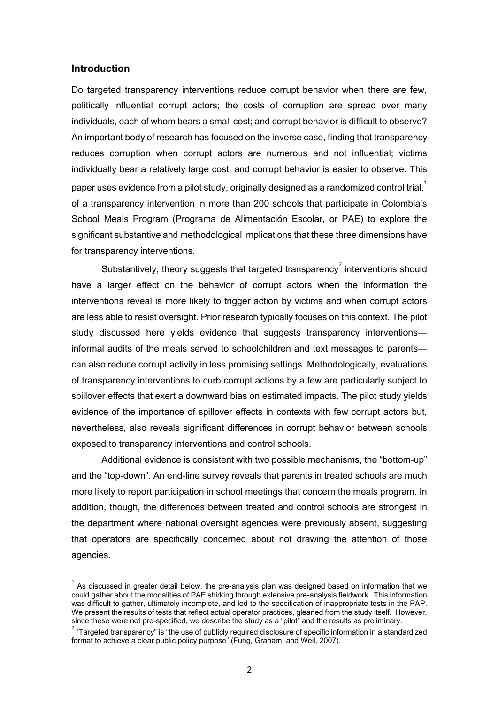#### **Introduction**

Do targeted transparency interventions reduce corrupt behavior when there are few, politically influential corrupt actors; the costs of corruption are spread over many individuals, each of whom bears a small cost; and corrupt behavior is difficult to observe? An important body of research has focused on the inverse case, finding that transparency reduces corruption when corrupt actors are numerous and not influential; victims individually bear a relatively large cost; and corrupt behavior is easier to observe. This paper uses evidence from a pilot study, originally designed as a randomized control trial. $^1$ of a transparency intervention in more than 200 schools that participate in Colombia's School Meals Program (Programa de Alimentación Escolar, or PAE) to explore the significant substantive and methodological implications that these three dimensions have for transparency interventions.

Substantively, theory suggests that targeted transparency $^{2}$  interventions should have a larger effect on the behavior of corrupt actors when the information the interventions reveal is more likely to trigger action by victims and when corrupt actors are less able to resist oversight. Prior research typically focuses on this context. The pilot study discussed here yields evidence that suggests transparency interventions informal audits of the meals served to schoolchildren and text messages to parents can also reduce corrupt activity in less promising settings. Methodologically, evaluations of transparency interventions to curb corrupt actions by a few are particularly subject to spillover effects that exert a downward bias on estimated impacts. The pilot study yields evidence of the importance of spillover effects in contexts with few corrupt actors but, nevertheless, also reveals significant differences in corrupt behavior between schools exposed to transparency interventions and control schools.

Additional evidence is consistent with two possible mechanisms, the "bottom-up" and the "top-down". An end-line survey reveals that parents in treated schools are much more likely to report participation in school meetings that concern the meals program. In addition, though, the differences between treated and control schools are strongest in the department where national oversight agencies were previously absent, suggesting that operators are specifically concerned about not drawing the attention of those agencies.

 $^{1}$  As discussed in greater detail below, the pre-analysis plan was designed based on information that we could gather about the modalities of PAE shirking through extensive pre-analysis fieldwork. This information was difficult to gather, ultimately incomplete, and led to the specification of inappropriate tests in the PAP. We present the results of tests that reflect actual operator practices, gleaned from the study itself. However, since these were not pre-specified, we describe the study as a "pilot" and the results as preliminary. since these were not pre-specified, we describe the study as a "pilot" and the results as preliminary.<br><sup>2</sup> "Targeted transparency" is "the use of publicly required disclosure of specific information in a standardized

format to achieve a clear public policy purpose" (Fung, Graham, and Weil, 2007).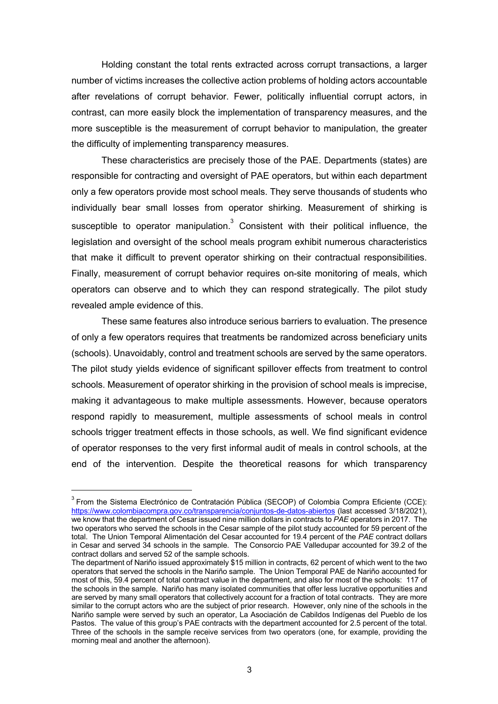Holding constant the total rents extracted across corrupt transactions, a larger number of victims increases the collective action problems of holding actors accountable after revelations of corrupt behavior. Fewer, politically influential corrupt actors, in contrast, can more easily block the implementation of transparency measures, and the more susceptible is the measurement of corrupt behavior to manipulation, the greater the difficulty of implementing transparency measures.

These characteristics are precisely those of the PAE. Departments (states) are responsible for contracting and oversight of PAE operators, but within each department only a few operators provide most school meals. They serve thousands of students who individually bear small losses from operator shirking. Measurement of shirking is susceptible to operator manipulation. $3$  Consistent with their political influence, the legislation and oversight of the school meals program exhibit numerous characteristics that make it difficult to prevent operator shirking on their contractual responsibilities. Finally, measurement of corrupt behavior requires on-site monitoring of meals, which operators can observe and to which they can respond strategically. The pilot study revealed ample evidence of this.

These same features also introduce serious barriers to evaluation. The presence of only a few operators requires that treatments be randomized across beneficiary units (schools). Unavoidably, control and treatment schools are served by the same operators. The pilot study yields evidence of significant spillover effects from treatment to control schools. Measurement of operator shirking in the provision of school meals is imprecise, making it advantageous to make multiple assessments. However, because operators respond rapidly to measurement, multiple assessments of school meals in control schools trigger treatment effects in those schools, as well. We find significant evidence of operator responses to the very first informal audit of meals in control schools, at the end of the intervention. Despite the theoretical reasons for which transparency

 $3$  From the Sistema Electrónico de Contratación Pública (SECOP) of Colombia Compra Eficiente (CCE): https://www.colombiacompra.gov.co/transparencia/conjuntos-de-datos-abiertos (last accessed 3/18/2021), we know that the department of Cesar issued nine million dollars in contracts to *PAE* operators in 2017. The two operators who served the schools in the Cesar sample of the pilot study accounted for 59 percent of the total. The Union Temporal Alimentación del Cesar accounted for 19.4 percent of the *PAE* contract dollars in Cesar and served 34 schools in the sample. The Consorcio PAE Valledupar accounted for 39.2 of the contract dollars and served 52 of the sample schools.

The department of Nariño issued approximately \$15 million in contracts, 62 percent of which went to the two operators that served the schools in the Nariño sample. The Union Temporal PAE de Nariño accounted for most of this, 59.4 percent of total contract value in the department, and also for most of the schools: 117 of the schools in the sample. Nariño has many isolated communities that offer less lucrative opportunities and are served by many small operators that collectively account for a fraction of total contracts. They are more similar to the corrupt actors who are the subject of prior research. However, only nine of the schools in the Nariño sample were served by such an operator, La Asociación de Cabildos Indígenas del Pueblo de los Pastos. The value of this group's PAE contracts with the department accounted for 2.5 percent of the total. Three of the schools in the sample receive services from two operators (one, for example, providing the morning meal and another the afternoon).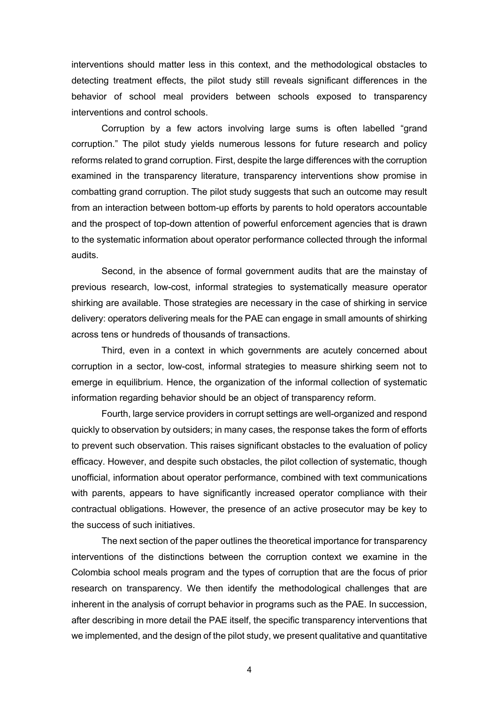interventions should matter less in this context, and the methodological obstacles to detecting treatment effects, the pilot study still reveals significant differences in the behavior of school meal providers between schools exposed to transparency interventions and control schools.

Corruption by a few actors involving large sums is often labelled "grand corruption." The pilot study yields numerous lessons for future research and policy reforms related to grand corruption. First, despite the large differences with the corruption examined in the transparency literature, transparency interventions show promise in combatting grand corruption. The pilot study suggests that such an outcome may result from an interaction between bottom-up efforts by parents to hold operators accountable and the prospect of top-down attention of powerful enforcement agencies that is drawn to the systematic information about operator performance collected through the informal audits.

Second, in the absence of formal government audits that are the mainstay of previous research, low-cost, informal strategies to systematically measure operator shirking are available. Those strategies are necessary in the case of shirking in service delivery: operators delivering meals for the PAE can engage in small amounts of shirking across tens or hundreds of thousands of transactions.

Third, even in a context in which governments are acutely concerned about corruption in a sector, low-cost, informal strategies to measure shirking seem not to emerge in equilibrium. Hence, the organization of the informal collection of systematic information regarding behavior should be an object of transparency reform.

Fourth, large service providers in corrupt settings are well-organized and respond quickly to observation by outsiders; in many cases, the response takes the form of efforts to prevent such observation. This raises significant obstacles to the evaluation of policy efficacy. However, and despite such obstacles, the pilot collection of systematic, though unofficial, information about operator performance, combined with text communications with parents, appears to have significantly increased operator compliance with their contractual obligations. However, the presence of an active prosecutor may be key to the success of such initiatives.

The next section of the paper outlines the theoretical importance for transparency interventions of the distinctions between the corruption context we examine in the Colombia school meals program and the types of corruption that are the focus of prior research on transparency. We then identify the methodological challenges that are inherent in the analysis of corrupt behavior in programs such as the PAE. In succession, after describing in more detail the PAE itself, the specific transparency interventions that we implemented, and the design of the pilot study, we present qualitative and quantitative

4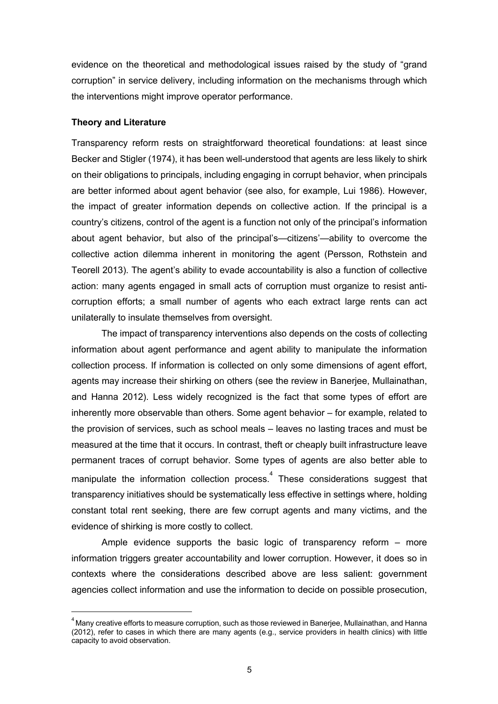evidence on the theoretical and methodological issues raised by the study of "grand corruption" in service delivery, including information on the mechanisms through which the interventions might improve operator performance.

#### **Theory and Literature**

Transparency reform rests on straightforward theoretical foundations: at least since Becker and Stigler (1974), it has been well-understood that agents are less likely to shirk on their obligations to principals, including engaging in corrupt behavior, when principals are better informed about agent behavior (see also, for example, Lui 1986). However, the impact of greater information depends on collective action. If the principal is a country's citizens, control of the agent is a function not only of the principal's information about agent behavior, but also of the principal's—citizens'—ability to overcome the collective action dilemma inherent in monitoring the agent (Persson, Rothstein and Teorell 2013). The agent's ability to evade accountability is also a function of collective action: many agents engaged in small acts of corruption must organize to resist anticorruption efforts; a small number of agents who each extract large rents can act unilaterally to insulate themselves from oversight.

The impact of transparency interventions also depends on the costs of collecting information about agent performance and agent ability to manipulate the information collection process. If information is collected on only some dimensions of agent effort, agents may increase their shirking on others (see the review in Banerjee, Mullainathan, and Hanna 2012). Less widely recognized is the fact that some types of effort are inherently more observable than others. Some agent behavior – for example, related to the provision of services, such as school meals – leaves no lasting traces and must be measured at the time that it occurs. In contrast, theft or cheaply built infrastructure leave permanent traces of corrupt behavior. Some types of agents are also better able to manipulate the information collection process. $<sup>4</sup>$  These considerations suggest that</sup> transparency initiatives should be systematically less effective in settings where, holding constant total rent seeking, there are few corrupt agents and many victims, and the evidence of shirking is more costly to collect.

Ample evidence supports the basic logic of transparency reform – more information triggers greater accountability and lower corruption. However, it does so in contexts where the considerations described above are less salient: government agencies collect information and use the information to decide on possible prosecution,

<sup>4</sup> Many creative efforts to measure corruption, such as those reviewed in Banerjee, Mullainathan, and Hanna (2012), refer to cases in which there are many agents (e.g., service providers in health clinics) with little capacity to avoid observation.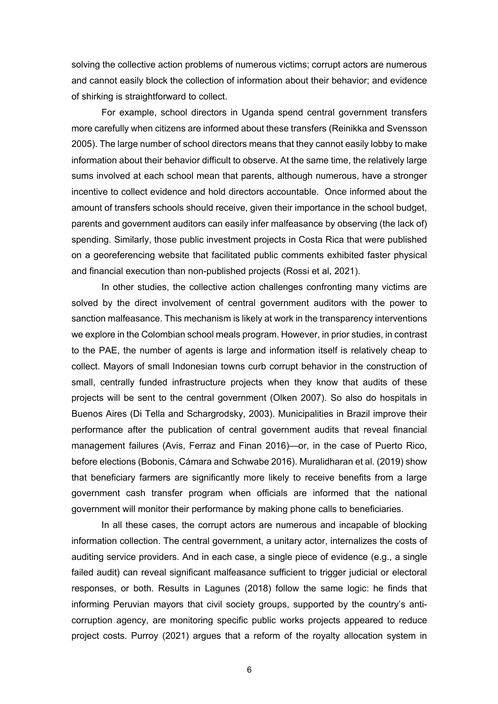solving the collective action problems of numerous victims; corrupt actors are numerous and cannot easily block the collection of information about their behavior; and evidence of shirking is straightforward to collect.

For example, school directors in Uganda spend central government transfers more carefully when citizens are informed about these transfers (Reinikka and Svensson 2005). The large number of school directors means that they cannot easily lobby to make information about their behavior difficult to observe. At the same time, the relatively large sums involved at each school mean that parents, although numerous, have a stronger incentive to collect evidence and hold directors accountable. Once informed about the amount of transfers schools should receive, given their importance in the school budget, parents and government auditors can easily infer malfeasance by observing (the lack of) spending. Similarly, those public investment projects in Costa Rica that were published on a georeferencing website that facilitated public comments exhibited faster physical and financial execution than non-published projects (Rossi et al, 2021).

In other studies, the collective action challenges confronting many victims are solved by the direct involvement of central government auditors with the power to sanction malfeasance. This mechanism is likely at work in the transparency interventions we explore in the Colombian school meals program. However, in prior studies, in contrast to the PAE, the number of agents is large and information itself is relatively cheap to collect. Mayors of small Indonesian towns curb corrupt behavior in the construction of small, centrally funded infrastructure projects when they know that audits of these projects will be sent to the central government (Olken 2007). So also do hospitals in Buenos Aires (Di Tella and Schargrodsky, 2003). Municipalities in Brazil improve their performance after the publication of central government audits that reveal financial management failures (Avis, Ferraz and Finan 2016)—or, in the case of Puerto Rico, before elections (Bobonis, Cámara and Schwabe 2016). Muralidharan et al. (2019) show that beneficiary farmers are significantly more likely to receive benefits from a large government cash transfer program when officials are informed that the national government will monitor their performance by making phone calls to beneficiaries.

In all these cases, the corrupt actors are numerous and incapable of blocking information collection. The central government, a unitary actor, internalizes the costs of auditing service providers. And in each case, a single piece of evidence (e.g., a single failed audit) can reveal significant malfeasance sufficient to trigger judicial or electoral responses, or both. Results in Lagunes (2018) follow the same logic: he finds that informing Peruvian mayors that civil society groups, supported by the country's anticorruption agency, are monitoring specific public works projects appeared to reduce project costs. Purroy (2021) argues that a reform of the royalty allocation system in

6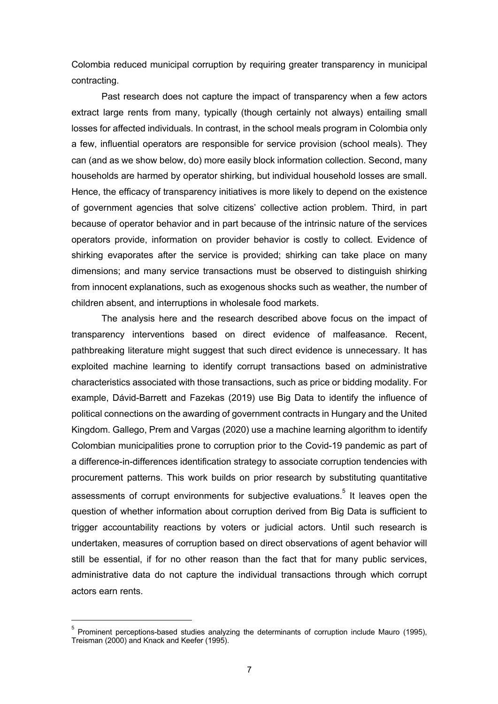Colombia reduced municipal corruption by requiring greater transparency in municipal contracting.

Past research does not capture the impact of transparency when a few actors extract large rents from many, typically (though certainly not always) entailing small losses for affected individuals. In contrast, in the school meals program in Colombia only a few, influential operators are responsible for service provision (school meals). They can (and as we show below, do) more easily block information collection. Second, many households are harmed by operator shirking, but individual household losses are small. Hence, the efficacy of transparency initiatives is more likely to depend on the existence of government agencies that solve citizens' collective action problem. Third, in part because of operator behavior and in part because of the intrinsic nature of the services operators provide, information on provider behavior is costly to collect. Evidence of shirking evaporates after the service is provided; shirking can take place on many dimensions; and many service transactions must be observed to distinguish shirking from innocent explanations, such as exogenous shocks such as weather, the number of children absent, and interruptions in wholesale food markets.

The analysis here and the research described above focus on the impact of transparency interventions based on direct evidence of malfeasance. Recent, pathbreaking literature might suggest that such direct evidence is unnecessary. It has exploited machine learning to identify corrupt transactions based on administrative characteristics associated with those transactions, such as price or bidding modality. For example, Dávid-Barrett and Fazekas (2019) use Big Data to identify the influence of political connections on the awarding of government contracts in Hungary and the United Kingdom. Gallego, Prem and Vargas (2020) use a machine learning algorithm to identify Colombian municipalities prone to corruption prior to the Covid-19 pandemic as part of a difference-in-differences identification strategy to associate corruption tendencies with procurement patterns. This work builds on prior research by substituting quantitative assessments of corrupt environments for subjective evaluations.<sup>5</sup> It leaves open the question of whether information about corruption derived from Big Data is sufficient to trigger accountability reactions by voters or judicial actors. Until such research is undertaken, measures of corruption based on direct observations of agent behavior will still be essential, if for no other reason than the fact that for many public services, administrative data do not capture the individual transactions through which corrupt actors earn rents.

<sup>5</sup> Prominent perceptions-based studies analyzing the determinants of corruption include Mauro (1995), Treisman (2000) and Knack and Keefer (1995).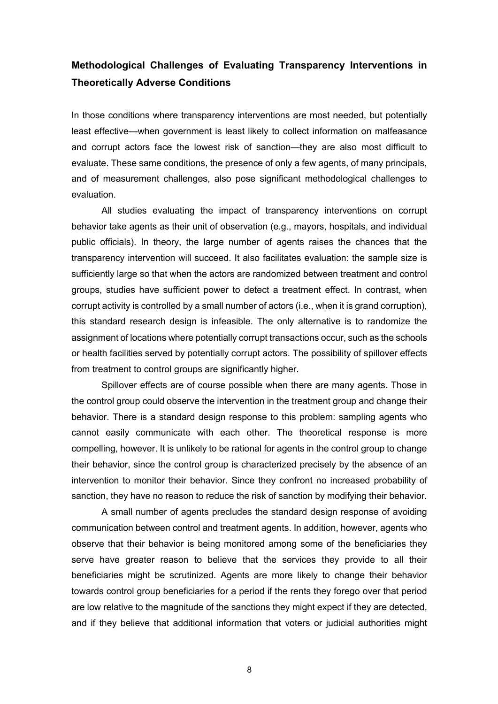### **Methodological Challenges of Evaluating Transparency Interventions in Theoretically Adverse Conditions**

In those conditions where transparency interventions are most needed, but potentially least effective—when government is least likely to collect information on malfeasance and corrupt actors face the lowest risk of sanction—they are also most difficult to evaluate. These same conditions, the presence of only a few agents, of many principals, and of measurement challenges, also pose significant methodological challenges to evaluation.

All studies evaluating the impact of transparency interventions on corrupt behavior take agents as their unit of observation (e.g., mayors, hospitals, and individual public officials). In theory, the large number of agents raises the chances that the transparency intervention will succeed. It also facilitates evaluation: the sample size is sufficiently large so that when the actors are randomized between treatment and control groups, studies have sufficient power to detect a treatment effect. In contrast, when corrupt activity is controlled by a small number of actors (i.e., when it is grand corruption), this standard research design is infeasible. The only alternative is to randomize the assignment of locations where potentially corrupt transactions occur, such as the schools or health facilities served by potentially corrupt actors. The possibility of spillover effects from treatment to control groups are significantly higher.

Spillover effects are of course possible when there are many agents. Those in the control group could observe the intervention in the treatment group and change their behavior. There is a standard design response to this problem: sampling agents who cannot easily communicate with each other. The theoretical response is more compelling, however. It is unlikely to be rational for agents in the control group to change their behavior, since the control group is characterized precisely by the absence of an intervention to monitor their behavior. Since they confront no increased probability of sanction, they have no reason to reduce the risk of sanction by modifying their behavior.

A small number of agents precludes the standard design response of avoiding communication between control and treatment agents. In addition, however, agents who observe that their behavior is being monitored among some of the beneficiaries they serve have greater reason to believe that the services they provide to all their beneficiaries might be scrutinized. Agents are more likely to change their behavior towards control group beneficiaries for a period if the rents they forego over that period are low relative to the magnitude of the sanctions they might expect if they are detected, and if they believe that additional information that voters or judicial authorities might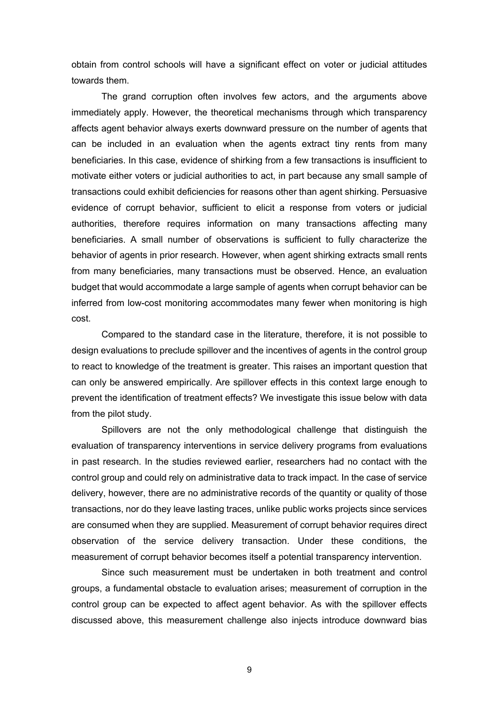obtain from control schools will have a significant effect on voter or judicial attitudes towards them.

The grand corruption often involves few actors, and the arguments above immediately apply. However, the theoretical mechanisms through which transparency affects agent behavior always exerts downward pressure on the number of agents that can be included in an evaluation when the agents extract tiny rents from many beneficiaries. In this case, evidence of shirking from a few transactions is insufficient to motivate either voters or judicial authorities to act, in part because any small sample of transactions could exhibit deficiencies for reasons other than agent shirking. Persuasive evidence of corrupt behavior, sufficient to elicit a response from voters or judicial authorities, therefore requires information on many transactions affecting many beneficiaries. A small number of observations is sufficient to fully characterize the behavior of agents in prior research. However, when agent shirking extracts small rents from many beneficiaries, many transactions must be observed. Hence, an evaluation budget that would accommodate a large sample of agents when corrupt behavior can be inferred from low-cost monitoring accommodates many fewer when monitoring is high cost.

Compared to the standard case in the literature, therefore, it is not possible to design evaluations to preclude spillover and the incentives of agents in the control group to react to knowledge of the treatment is greater. This raises an important question that can only be answered empirically. Are spillover effects in this context large enough to prevent the identification of treatment effects? We investigate this issue below with data from the pilot study.

Spillovers are not the only methodological challenge that distinguish the evaluation of transparency interventions in service delivery programs from evaluations in past research. In the studies reviewed earlier, researchers had no contact with the control group and could rely on administrative data to track impact. In the case of service delivery, however, there are no administrative records of the quantity or quality of those transactions, nor do they leave lasting traces, unlike public works projects since services are consumed when they are supplied. Measurement of corrupt behavior requires direct observation of the service delivery transaction. Under these conditions, the measurement of corrupt behavior becomes itself a potential transparency intervention.

Since such measurement must be undertaken in both treatment and control groups, a fundamental obstacle to evaluation arises; measurement of corruption in the control group can be expected to affect agent behavior. As with the spillover effects discussed above, this measurement challenge also injects introduce downward bias

9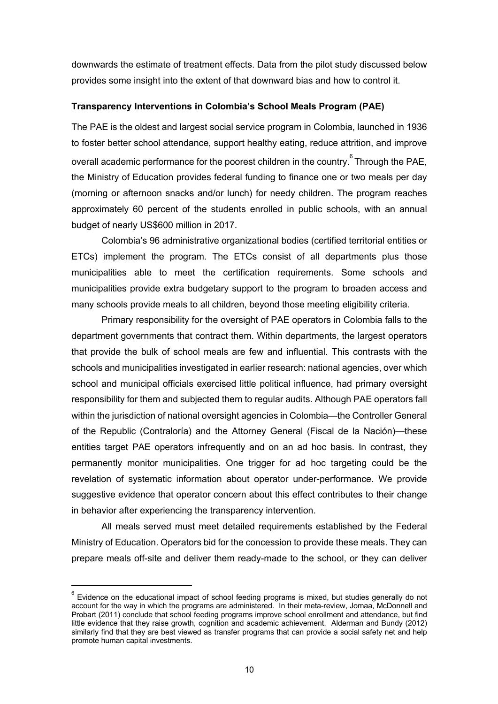downwards the estimate of treatment effects. Data from the pilot study discussed below provides some insight into the extent of that downward bias and how to control it.

#### **Transparency Interventions in Colombia's School Meals Program (PAE)**

The PAE is the oldest and largest social service program in Colombia, launched in 1936 to foster better school attendance, support healthy eating, reduce attrition, and improve overall academic performance for the poorest children in the country. <sup>6</sup> Through the PAE, the Ministry of Education provides federal funding to finance one or two meals per day (morning or afternoon snacks and/or lunch) for needy children. The program reaches approximately 60 percent of the students enrolled in public schools, with an annual budget of nearly US\$600 million in 2017.

Colombia's 96 administrative organizational bodies (certified territorial entities or ETCs) implement the program. The ETCs consist of all departments plus those municipalities able to meet the certification requirements. Some schools and municipalities provide extra budgetary support to the program to broaden access and many schools provide meals to all children, beyond those meeting eligibility criteria.

Primary responsibility for the oversight of PAE operators in Colombia falls to the department governments that contract them. Within departments, the largest operators that provide the bulk of school meals are few and influential. This contrasts with the schools and municipalities investigated in earlier research: national agencies, over which school and municipal officials exercised little political influence, had primary oversight responsibility for them and subjected them to regular audits. Although PAE operators fall within the jurisdiction of national oversight agencies in Colombia—the Controller General of the Republic (Contraloría) and the Attorney General (Fiscal de la Nación)—these entities target PAE operators infrequently and on an ad hoc basis. In contrast, they permanently monitor municipalities. One trigger for ad hoc targeting could be the revelation of systematic information about operator under-performance. We provide suggestive evidence that operator concern about this effect contributes to their change in behavior after experiencing the transparency intervention.

All meals served must meet detailed requirements established by the Federal Ministry of Education. Operators bid for the concession to provide these meals. They can prepare meals off-site and deliver them ready-made to the school, or they can deliver

 $^6$  Evidence on the educational impact of school feeding programs is mixed, but studies generally do not account for the way in which the programs are administered. In their meta-review, Jomaa, McDonnell and Probart (2011) conclude that school feeding programs improve school enrollment and attendance, but find little evidence that they raise growth, cognition and academic achievement. Alderman and Bundy (2012) similarly find that they are best viewed as transfer programs that can provide a social safety net and help promote human capital investments.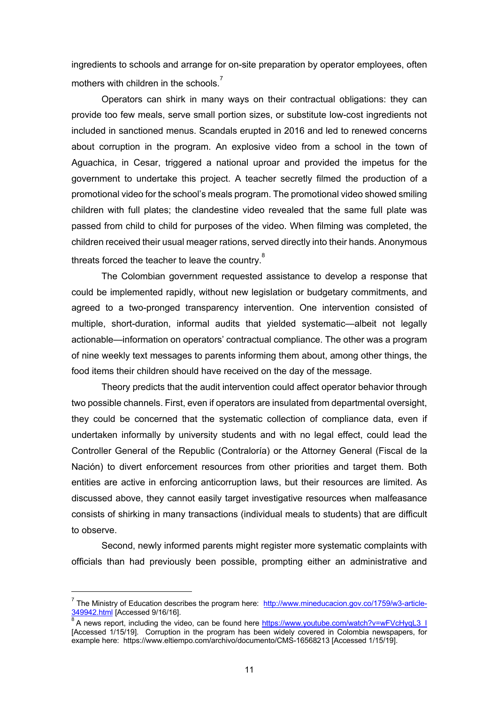ingredients to schools and arrange for on-site preparation by operator employees, often mothers with children in the schools.<sup>7</sup>

Operators can shirk in many ways on their contractual obligations: they can provide too few meals, serve small portion sizes, or substitute low-cost ingredients not included in sanctioned menus. Scandals erupted in 2016 and led to renewed concerns about corruption in the program. An explosive video from a school in the town of Aguachica, in Cesar, triggered a national uproar and provided the impetus for the government to undertake this project. A teacher secretly filmed the production of a promotional video for the school's meals program. The promotional video showed smiling children with full plates; the clandestine video revealed that the same full plate was passed from child to child for purposes of the video. When filming was completed, the children received their usual meager rations, served directly into their hands. Anonymous threats forced the teacher to leave the country.<sup>8</sup>

The Colombian government requested assistance to develop a response that could be implemented rapidly, without new legislation or budgetary commitments, and agreed to a two-pronged transparency intervention. One intervention consisted of multiple, short-duration, informal audits that yielded systematic—albeit not legally actionable—information on operators' contractual compliance. The other was a program of nine weekly text messages to parents informing them about, among other things, the food items their children should have received on the day of the message.

Theory predicts that the audit intervention could affect operator behavior through two possible channels. First, even if operators are insulated from departmental oversight, they could be concerned that the systematic collection of compliance data, even if undertaken informally by university students and with no legal effect, could lead the Controller General of the Republic (Contraloría) or the Attorney General (Fiscal de la Nación) to divert enforcement resources from other priorities and target them. Both entities are active in enforcing anticorruption laws, but their resources are limited. As discussed above, they cannot easily target investigative resources when malfeasance consists of shirking in many transactions (individual meals to students) that are difficult to observe.

Second, newly informed parents might register more systematic complaints with officials than had previously been possible, prompting either an administrative and

<sup>7</sup> The Ministry of Education describes the program here: http://www.mineducacion.gov.co/1759/w3-article-349942.html [Accessed 9/16/16].

<sup>8</sup> A news report, including the video, can be found here https://www.youtube.com/watch?v=wFVcHyqL3\_I [Accessed 1/15/19]. Corruption in the program has been widely covered in Colombia newspapers, for example here: https://www.eltiempo.com/archivo/documento/CMS-16568213 [Accessed 1/15/19].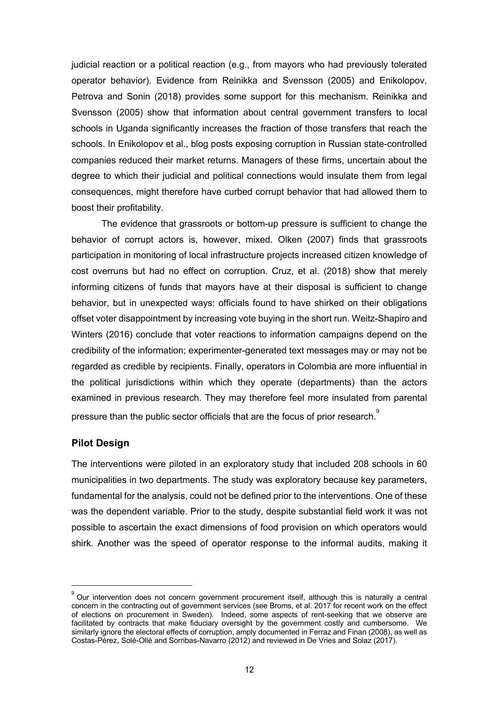judicial reaction or a political reaction (e.g., from mayors who had previously tolerated operator behavior). Evidence from Reinikka and Svensson (2005) and Enikolopov, Petrova and Sonin (2018) provides some support for this mechanism. Reinikka and Svensson (2005) show that information about central government transfers to local schools in Uganda significantly increases the fraction of those transfers that reach the schools. In Enikolopov et al., blog posts exposing corruption in Russian state-controlled companies reduced their market returns. Managers of these firms, uncertain about the degree to which their judicial and political connections would insulate them from legal consequences, might therefore have curbed corrupt behavior that had allowed them to boost their profitability.

The evidence that grassroots or bottom-up pressure is sufficient to change the behavior of corrupt actors is, however, mixed. Olken (2007) finds that grassroots participation in monitoring of local infrastructure projects increased citizen knowledge of cost overruns but had no effect on corruption. Cruz, et al. (2018) show that merely informing citizens of funds that mayors have at their disposal is sufficient to change behavior, but in unexpected ways: officials found to have shirked on their obligations offset voter disappointment by increasing vote buying in the short run. Weitz-Shapiro and Winters (2016) conclude that voter reactions to information campaigns depend on the credibility of the information; experimenter-generated text messages may or may not be regarded as credible by recipients. Finally, operators in Colombia are more influential in the political jurisdictions within which they operate (departments) than the actors examined in previous research. They may therefore feel more insulated from parental pressure than the public sector officials that are the focus of prior research.<sup>9</sup>

#### **Pilot Design**

The interventions were piloted in an exploratory study that included 208 schools in 60 municipalities in two departments. The study was exploratory because key parameters, fundamental for the analysis, could not be defined prior to the interventions. One of these was the dependent variable. Prior to the study, despite substantial field work it was not possible to ascertain the exact dimensions of food provision on which operators would shirk. Another was the speed of operator response to the informal audits, making it

 $<sup>9</sup>$  Our intervention does not concern government procurement itself, although this is naturally a central</sup> concern in the contracting out of government services (see Broms, et al. 2017 for recent work on the effect of elections on procurement in Sweden). Indeed, some aspects of rent-seeking that we observe are facilitated by contracts that make fiduciary oversight by the government costly and cumbersome. We similarly ignore the electoral effects of corruption, amply documented in Ferraz and Finan (2008), as well as Costas-Pérez, Solé-Ollé and Sorribas-Navarro (2012) and reviewed in De Vries and Solaz (2017).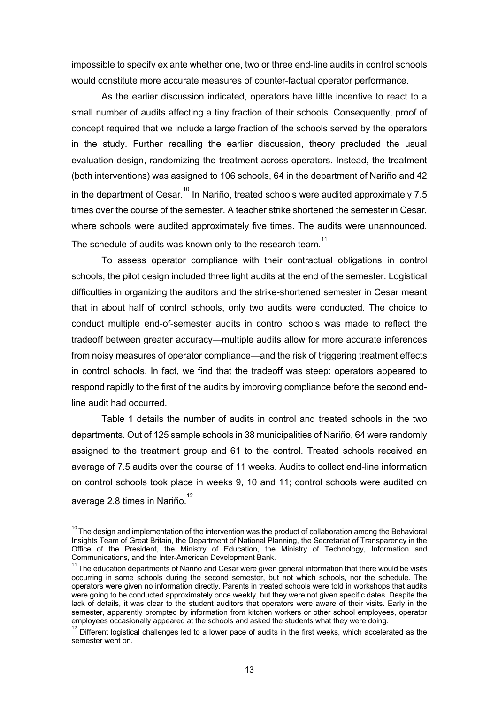impossible to specify ex ante whether one, two or three end-line audits in control schools would constitute more accurate measures of counter-factual operator performance.

As the earlier discussion indicated, operators have little incentive to react to a small number of audits affecting a tiny fraction of their schools. Consequently, proof of concept required that we include a large fraction of the schools served by the operators in the study. Further recalling the earlier discussion, theory precluded the usual evaluation design, randomizing the treatment across operators. Instead, the treatment (both interventions) was assigned to 106 schools, 64 in the department of Nariño and 42 in the department of  $Cesar$ .<sup>10</sup> In Nariño, treated schools were audited approximately 7.5 times over the course of the semester. A teacher strike shortened the semester in Cesar, where schools were audited approximately five times. The audits were unannounced. The schedule of audits was known only to the research team. $11$ 

To assess operator compliance with their contractual obligations in control schools, the pilot design included three light audits at the end of the semester. Logistical difficulties in organizing the auditors and the strike-shortened semester in Cesar meant that in about half of control schools, only two audits were conducted. The choice to conduct multiple end-of-semester audits in control schools was made to reflect the tradeoff between greater accuracy—multiple audits allow for more accurate inferences from noisy measures of operator compliance—and the risk of triggering treatment effects in control schools. In fact, we find that the tradeoff was steep: operators appeared to respond rapidly to the first of the audits by improving compliance before the second endline audit had occurred.

Table 1 details the number of audits in control and treated schools in the two departments. Out of 125 sample schools in 38 municipalities of Nariño, 64 were randomly assigned to the treatment group and 61 to the control. Treated schools received an average of 7.5 audits over the course of 11 weeks. Audits to collect end-line information on control schools took place in weeks 9, 10 and 11; control schools were audited on average 2.8 times in Nariño. $^{12}$ 

 $10$  The design and implementation of the intervention was the product of collaboration among the Behavioral Insights Team of Great Britain, the Department of National Planning, the Secretariat of Transparency in the Office of the President, the Ministry of Education, the Ministry of Technology, Information and<br>Communications, and the Inter-American Development Bank.

<sup>&</sup>lt;sup>11</sup> The education departments of Nariño and Cesar were given general information that there would be visits occurring in some schools during the second semester, but not which schools, nor the schedule. The operators were given no information directly. Parents in treated schools were told in workshops that audits were going to be conducted approximately once weekly, but they were not given specific dates. Despite the lack of details, it was clear to the student auditors that operators were aware of their visits. Early in the semester, apparently prompted by information from kitchen workers or other school employees, operator employees occasionally appeared at the schools and asked the students what they were doing.

 $12$  Different logistical challenges led to a lower pace of audits in the first weeks, which accelerated as the semester went on.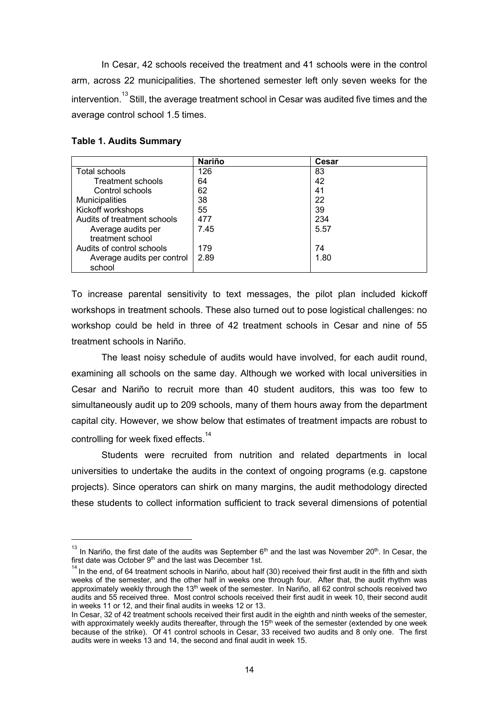In Cesar, 42 schools received the treatment and 41 schools were in the control arm, across 22 municipalities. The shortened semester left only seven weeks for the intervention.<sup>13</sup> Still, the average treatment school in Cesar was audited five times and the average control school 1.5 times.

|                             | <b>Nariño</b> | Cesar |
|-----------------------------|---------------|-------|
| Total schools               | 126           | 83    |
| Treatment schools           | 64            | 42    |
| Control schools             | 62            | 41    |
| Municipalities              | 38            | 22    |
| Kickoff workshops           | 55            | 39    |
| Audits of treatment schools | 477           | 234   |
| Average audits per          | 7.45          | 5.57  |
| treatment school            |               |       |
| Audits of control schools   | 179           | 74    |
| Average audits per control  | 2.89          | 1.80  |
| school                      |               |       |

#### **Table 1. Audits Summary**

To increase parental sensitivity to text messages, the pilot plan included kickoff workshops in treatment schools. These also turned out to pose logistical challenges: no workshop could be held in three of 42 treatment schools in Cesar and nine of 55 treatment schools in Nariño.

The least noisy schedule of audits would have involved, for each audit round, examining all schools on the same day. Although we worked with local universities in Cesar and Nariño to recruit more than 40 student auditors, this was too few to simultaneously audit up to 209 schools, many of them hours away from the department capital city. However, we show below that estimates of treatment impacts are robust to controlling for week fixed effects.<sup>14</sup>

Students were recruited from nutrition and related departments in local universities to undertake the audits in the context of ongoing programs (e.g. capstone projects). Since operators can shirk on many margins, the audit methodology directed these students to collect information sufficient to track several dimensions of potential

 $13$  In Nariño, the first date of the audits was September 6<sup>th</sup> and the last was November 20<sup>th</sup>. In Cesar, the first date was October  $9<sup>th</sup>$  and the last was December 1st.

 $14$  In the end, of 64 treatment schools in Nariño, about half (30) received their first audit in the fifth and sixth weeks of the semester, and the other half in weeks one through four. After that, the audit rhythm was approximately weekly through the 13<sup>th</sup> week of the semester. In Nariño, all 62 control schools received two audits and 55 received three. Most control schools received their first audit in week 10, their second audit in weeks 11 or 12, and their final audits in weeks 12 or 13.

In Cesar, 32 of 42 treatment schools received their first audit in the eighth and ninth weeks of the semester, with approximately weekly audits thereafter, through the 15<sup>th</sup> week of the semester (extended by one week because of the strike). Of 41 control schools in Cesar, 33 received two audits and 8 only one. The first audits were in weeks 13 and 14, the second and final audit in week 15.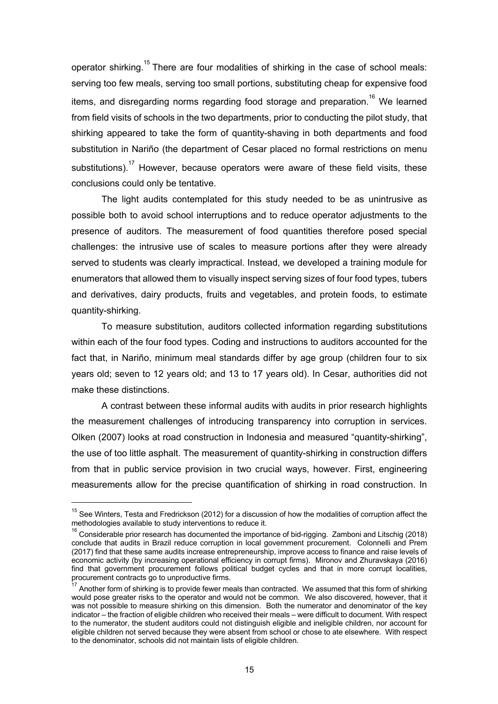operator shirking.<sup>15</sup> There are four modalities of shirking in the case of school meals: serving too few meals, serving too small portions, substituting cheap for expensive food items, and disregarding norms regarding food storage and preparation.<sup>16</sup> We learned from field visits of schools in the two departments, prior to conducting the pilot study, that shirking appeared to take the form of quantity-shaving in both departments and food substitution in Nariño (the department of Cesar placed no formal restrictions on menu substitutions).<sup>17</sup> However, because operators were aware of these field visits, these conclusions could only be tentative.

The light audits contemplated for this study needed to be as unintrusive as possible both to avoid school interruptions and to reduce operator adjustments to the presence of auditors. The measurement of food quantities therefore posed special challenges: the intrusive use of scales to measure portions after they were already served to students was clearly impractical. Instead, we developed a training module for enumerators that allowed them to visually inspect serving sizes of four food types, tubers and derivatives, dairy products, fruits and vegetables, and protein foods, to estimate quantity-shirking.

To measure substitution, auditors collected information regarding substitutions within each of the four food types. Coding and instructions to auditors accounted for the fact that, in Nariño, minimum meal standards differ by age group (children four to six years old; seven to 12 years old; and 13 to 17 years old). In Cesar, authorities did not make these distinctions.

A contrast between these informal audits with audits in prior research highlights the measurement challenges of introducing transparency into corruption in services. Olken (2007) looks at road construction in Indonesia and measured "quantity-shirking", the use of too little asphalt. The measurement of quantity-shirking in construction differs from that in public service provision in two crucial ways, however. First, engineering measurements allow for the precise quantification of shirking in road construction. In

 $15$  See Winters, Testa and Fredrickson (2012) for a discussion of how the modalities of corruption affect the methodologies available to study interventions to reduce it.

 $16$  Considerable prior research has documented the importance of bid-rigging. Zamboni and Litschig (2018) conclude that audits in Brazil reduce corruption in local government procurement. Colonnelli and Prem (2017) find that these same audits increase entrepreneurship, improve access to finance and raise levels of economic activity (by increasing operational efficiency in corrupt firms). Mironov and Zhuravskaya (2016) find that government procurement follows political budget cycles and that in more corrupt localities, procurement contracts go to unproductive firms.

Another form of shirking is to provide fewer meals than contracted. We assumed that this form of shirking would pose greater risks to the operator and would not be common. We also discovered, however, that it was not possible to measure shirking on this dimension. Both the numerator and denominator of the key indicator – the fraction of eligible children who received their meals – were difficult to document. With respect to the numerator, the student auditors could not distinguish eligible and ineligible children, nor account for eligible children not served because they were absent from school or chose to ate elsewhere. With respect to the denominator, schools did not maintain lists of eligible children.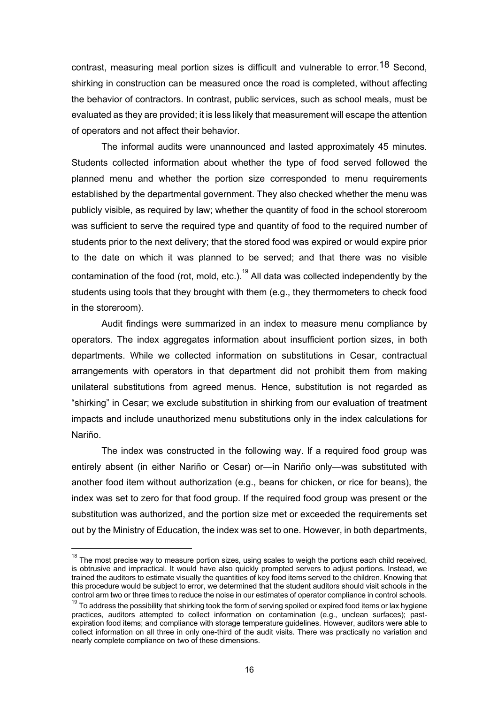contrast, measuring meal portion sizes is difficult and vulnerable to error.18 Second, shirking in construction can be measured once the road is completed, without affecting the behavior of contractors. In contrast, public services, such as school meals, must be evaluated as they are provided; it is less likely that measurement will escape the attention of operators and not affect their behavior.

The informal audits were unannounced and lasted approximately 45 minutes. Students collected information about whether the type of food served followed the planned menu and whether the portion size corresponded to menu requirements established by the departmental government. They also checked whether the menu was publicly visible, as required by law; whether the quantity of food in the school storeroom was sufficient to serve the required type and quantity of food to the required number of students prior to the next delivery; that the stored food was expired or would expire prior to the date on which it was planned to be served; and that there was no visible contamination of the food (rot, mold, etc.).<sup>19</sup> All data was collected independently by the students using tools that they brought with them (e.g., they thermometers to check food in the storeroom).

Audit findings were summarized in an index to measure menu compliance by operators. The index aggregates information about insufficient portion sizes, in both departments. While we collected information on substitutions in Cesar, contractual arrangements with operators in that department did not prohibit them from making unilateral substitutions from agreed menus. Hence, substitution is not regarded as "shirking" in Cesar; we exclude substitution in shirking from our evaluation of treatment impacts and include unauthorized menu substitutions only in the index calculations for Nariño.

The index was constructed in the following way. If a required food group was entirely absent (in either Nariño or Cesar) or—in Nariño only—was substituted with another food item without authorization (e.g., beans for chicken, or rice for beans), the index was set to zero for that food group. If the required food group was present or the substitution was authorized, and the portion size met or exceeded the requirements set out by the Ministry of Education, the index was set to one. However, in both departments,

 $18$  The most precise way to measure portion sizes, using scales to weigh the portions each child received, is obtrusive and impractical. It would have also quickly prompted servers to adjust portions. Instead, we trained the auditors to estimate visually the quantities of key food items served to the children. Knowing that this procedure would be subject to error, we determined that the student auditors should visit schools in the<br>control arm two or three times to reduce the noise in our estimates of operator compliance in control schools.

 $19$  To address the possibility that shirking took the form of serving spoiled or expired food items or lax hygiene practices, auditors attempted to collect information on contamination (e.g., unclean surfaces); pastexpiration food items; and compliance with storage temperature guidelines. However, auditors were able to collect information on all three in only one-third of the audit visits. There was practically no variation and nearly complete compliance on two of these dimensions.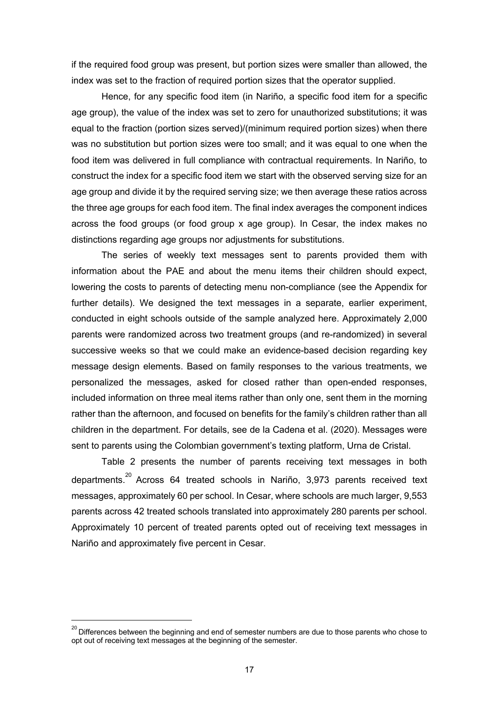if the required food group was present, but portion sizes were smaller than allowed, the index was set to the fraction of required portion sizes that the operator supplied.

Hence, for any specific food item (in Nariño, a specific food item for a specific age group), the value of the index was set to zero for unauthorized substitutions; it was equal to the fraction (portion sizes served)/(minimum required portion sizes) when there was no substitution but portion sizes were too small; and it was equal to one when the food item was delivered in full compliance with contractual requirements. In Nariño, to construct the index for a specific food item we start with the observed serving size for an age group and divide it by the required serving size; we then average these ratios across the three age groups for each food item. The final index averages the component indices across the food groups (or food group x age group). In Cesar, the index makes no distinctions regarding age groups nor adjustments for substitutions.

The series of weekly text messages sent to parents provided them with information about the PAE and about the menu items their children should expect, lowering the costs to parents of detecting menu non-compliance (see the Appendix for further details). We designed the text messages in a separate, earlier experiment, conducted in eight schools outside of the sample analyzed here. Approximately 2,000 parents were randomized across two treatment groups (and re-randomized) in several successive weeks so that we could make an evidence-based decision regarding key message design elements. Based on family responses to the various treatments, we personalized the messages, asked for closed rather than open-ended responses, included information on three meal items rather than only one, sent them in the morning rather than the afternoon, and focused on benefits for the family's children rather than all children in the department. For details, see de la Cadena et al. (2020). Messages were sent to parents using the Colombian government's texting platform, Urna de Cristal.

Table 2 presents the number of parents receiving text messages in both departments.<sup>20</sup> Across 64 treated schools in Nariño, 3,973 parents received text messages, approximately 60 per school. In Cesar, where schools are much larger, 9,553 parents across 42 treated schools translated into approximately 280 parents per school. Approximately 10 percent of treated parents opted out of receiving text messages in Nariño and approximately five percent in Cesar.

 $^{20}$  Differences between the beginning and end of semester numbers are due to those parents who chose to opt out of receiving text messages at the beginning of the semester.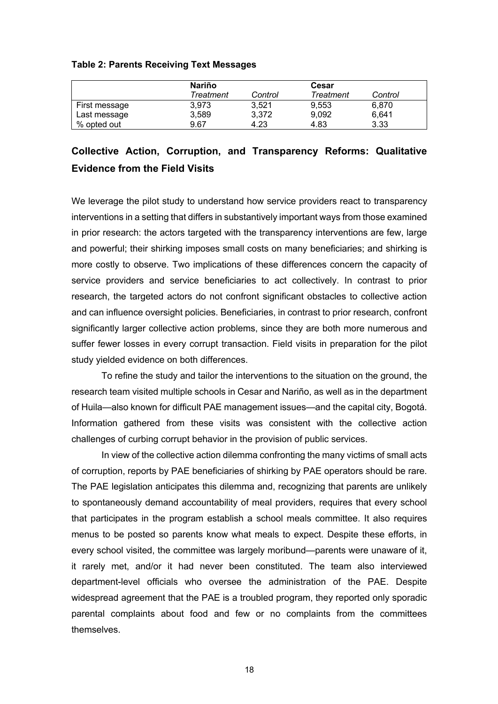#### **Table 2: Parents Receiving Text Messages**

|               | Nariño    |         | Cesar     |         |
|---------------|-----------|---------|-----------|---------|
|               | Treatment | Control | Treatment | Control |
| First message | 3.973     | 3.521   | 9.553     | 6,870   |
| Last message  | 3,589     | 3.372   | 9,092     | 6,641   |
| % opted out   | 9.67      | 4.23    | 4.83      | 3.33    |

## **Collective Action, Corruption, and Transparency Reforms: Qualitative Evidence from the Field Visits**

We leverage the pilot study to understand how service providers react to transparency interventions in a setting that differs in substantively important ways from those examined in prior research: the actors targeted with the transparency interventions are few, large and powerful; their shirking imposes small costs on many beneficiaries; and shirking is more costly to observe. Two implications of these differences concern the capacity of service providers and service beneficiaries to act collectively. In contrast to prior research, the targeted actors do not confront significant obstacles to collective action and can influence oversight policies. Beneficiaries, in contrast to prior research, confront significantly larger collective action problems, since they are both more numerous and suffer fewer losses in every corrupt transaction. Field visits in preparation for the pilot study yielded evidence on both differences.

To refine the study and tailor the interventions to the situation on the ground, the research team visited multiple schools in Cesar and Nariño, as well as in the department of Huila—also known for difficult PAE management issues—and the capital city, Bogotá. Information gathered from these visits was consistent with the collective action challenges of curbing corrupt behavior in the provision of public services.

In view of the collective action dilemma confronting the many victims of small acts of corruption, reports by PAE beneficiaries of shirking by PAE operators should be rare. The PAE legislation anticipates this dilemma and, recognizing that parents are unlikely to spontaneously demand accountability of meal providers, requires that every school that participates in the program establish a school meals committee. It also requires menus to be posted so parents know what meals to expect. Despite these efforts, in every school visited, the committee was largely moribund—parents were unaware of it, it rarely met, and/or it had never been constituted. The team also interviewed department-level officials who oversee the administration of the PAE. Despite widespread agreement that the PAE is a troubled program, they reported only sporadic parental complaints about food and few or no complaints from the committees themselves.

18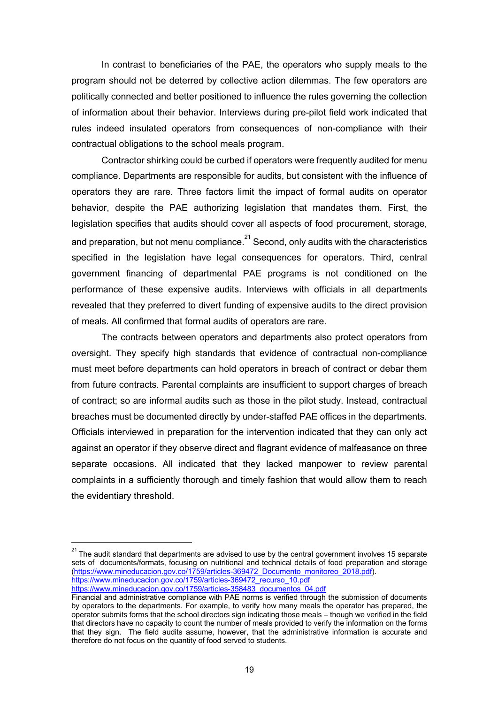In contrast to beneficiaries of the PAE, the operators who supply meals to the program should not be deterred by collective action dilemmas. The few operators are politically connected and better positioned to influence the rules governing the collection of information about their behavior. Interviews during pre-pilot field work indicated that rules indeed insulated operators from consequences of non-compliance with their contractual obligations to the school meals program.

Contractor shirking could be curbed if operators were frequently audited for menu compliance. Departments are responsible for audits, but consistent with the influence of operators they are rare. Three factors limit the impact of formal audits on operator behavior, despite the PAE authorizing legislation that mandates them. First, the legislation specifies that audits should cover all aspects of food procurement, storage, and preparation, but not menu compliance. $^{21}$  Second, only audits with the characteristics specified in the legislation have legal consequences for operators. Third, central government financing of departmental PAE programs is not conditioned on the performance of these expensive audits. Interviews with officials in all departments revealed that they preferred to divert funding of expensive audits to the direct provision of meals. All confirmed that formal audits of operators are rare.

The contracts between operators and departments also protect operators from oversight. They specify high standards that evidence of contractual non-compliance must meet before departments can hold operators in breach of contract or debar them from future contracts. Parental complaints are insufficient to support charges of breach of contract; so are informal audits such as those in the pilot study. Instead, contractual breaches must be documented directly by under-staffed PAE offices in the departments. Officials interviewed in preparation for the intervention indicated that they can only act against an operator if they observe direct and flagrant evidence of malfeasance on three separate occasions. All indicated that they lacked manpower to review parental complaints in a sufficiently thorough and timely fashion that would allow them to reach the evidentiary threshold.

 $21$  The audit standard that departments are advised to use by the central government involves 15 separate sets of documents/formats, focusing on nutritional and technical details of food preparation and storage (https://www.mineducacion.gov.co/1759/articles-369472\_Documento\_monitoreo\_2018.pdf). https://www.mineducacion.gov.co/1759/articles-369472 recurso\_10.pdf

https://www.mineducacion.gov.co/1759/articles-358483\_documentos\_04.pdf

Financial and administrative compliance with PAE norms is verified through the submission of documents by operators to the departments. For example, to verify how many meals the operator has prepared, the operator submits forms that the school directors sign indicating those meals – though we verified in the field that directors have no capacity to count the number of meals provided to verify the information on the forms that they sign. The field audits assume, however, that the administrative information is accurate and therefore do not focus on the quantity of food served to students.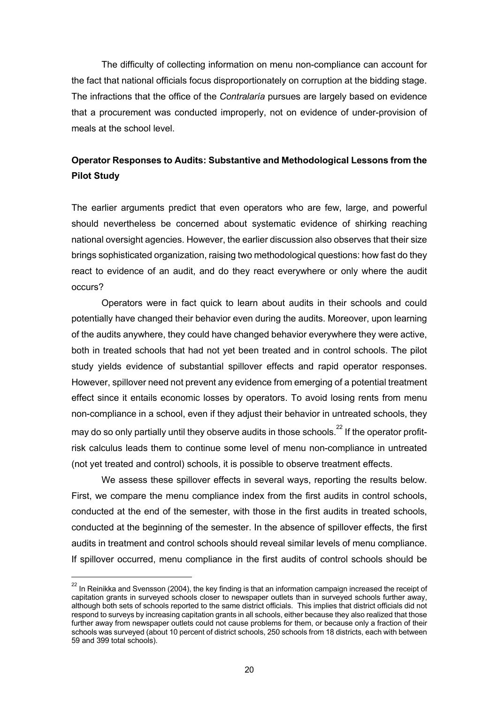The difficulty of collecting information on menu non-compliance can account for the fact that national officials focus disproportionately on corruption at the bidding stage. The infractions that the office of the *Contralaría* pursues are largely based on evidence that a procurement was conducted improperly, not on evidence of under-provision of meals at the school level.

### **Operator Responses to Audits: Substantive and Methodological Lessons from the Pilot Study**

The earlier arguments predict that even operators who are few, large, and powerful should nevertheless be concerned about systematic evidence of shirking reaching national oversight agencies. However, the earlier discussion also observes that their size brings sophisticated organization, raising two methodological questions: how fast do they react to evidence of an audit, and do they react everywhere or only where the audit occurs?

Operators were in fact quick to learn about audits in their schools and could potentially have changed their behavior even during the audits. Moreover, upon learning of the audits anywhere, they could have changed behavior everywhere they were active, both in treated schools that had not yet been treated and in control schools. The pilot study yields evidence of substantial spillover effects and rapid operator responses. However, spillover need not prevent any evidence from emerging of a potential treatment effect since it entails economic losses by operators. To avoid losing rents from menu non-compliance in a school, even if they adjust their behavior in untreated schools, they may do so only partially until they observe audits in those schools.<sup>22</sup> If the operator profitrisk calculus leads them to continue some level of menu non-compliance in untreated (not yet treated and control) schools, it is possible to observe treatment effects.

We assess these spillover effects in several ways, reporting the results below. First, we compare the menu compliance index from the first audits in control schools, conducted at the end of the semester, with those in the first audits in treated schools, conducted at the beginning of the semester. In the absence of spillover effects, the first audits in treatment and control schools should reveal similar levels of menu compliance. If spillover occurred, menu compliance in the first audits of control schools should be

 $22$  In Reinikka and Svensson (2004), the key finding is that an information campaign increased the receipt of capitation grants in surveyed schools closer to newspaper outlets than in surveyed schools further away, although both sets of schools reported to the same district officials. This implies that district officials did not respond to surveys by increasing capitation grants in all schools, either because they also realized that those further away from newspaper outlets could not cause problems for them, or because only a fraction of their schools was surveyed (about 10 percent of district schools, 250 schools from 18 districts, each with between 59 and 399 total schools).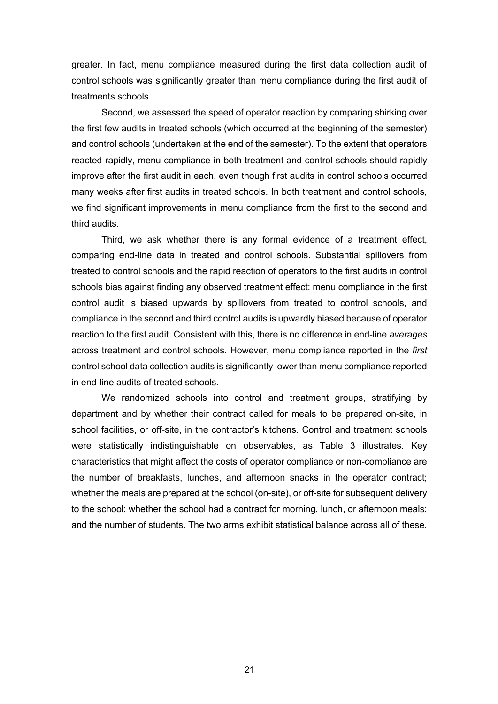greater. In fact, menu compliance measured during the first data collection audit of control schools was significantly greater than menu compliance during the first audit of treatments schools.

Second, we assessed the speed of operator reaction by comparing shirking over the first few audits in treated schools (which occurred at the beginning of the semester) and control schools (undertaken at the end of the semester). To the extent that operators reacted rapidly, menu compliance in both treatment and control schools should rapidly improve after the first audit in each, even though first audits in control schools occurred many weeks after first audits in treated schools. In both treatment and control schools, we find significant improvements in menu compliance from the first to the second and third audits.

Third, we ask whether there is any formal evidence of a treatment effect, comparing end-line data in treated and control schools. Substantial spillovers from treated to control schools and the rapid reaction of operators to the first audits in control schools bias against finding any observed treatment effect: menu compliance in the first control audit is biased upwards by spillovers from treated to control schools, and compliance in the second and third control audits is upwardly biased because of operator reaction to the first audit. Consistent with this, there is no difference in end-line *averages* across treatment and control schools. However, menu compliance reported in the *first* control school data collection audits is significantly lower than menu compliance reported in end-line audits of treated schools.

We randomized schools into control and treatment groups, stratifying by department and by whether their contract called for meals to be prepared on-site, in school facilities, or off-site, in the contractor's kitchens. Control and treatment schools were statistically indistinguishable on observables, as Table 3 illustrates. Key characteristics that might affect the costs of operator compliance or non-compliance are the number of breakfasts, lunches, and afternoon snacks in the operator contract; whether the meals are prepared at the school (on-site), or off-site for subsequent delivery to the school; whether the school had a contract for morning, lunch, or afternoon meals; and the number of students. The two arms exhibit statistical balance across all of these.

21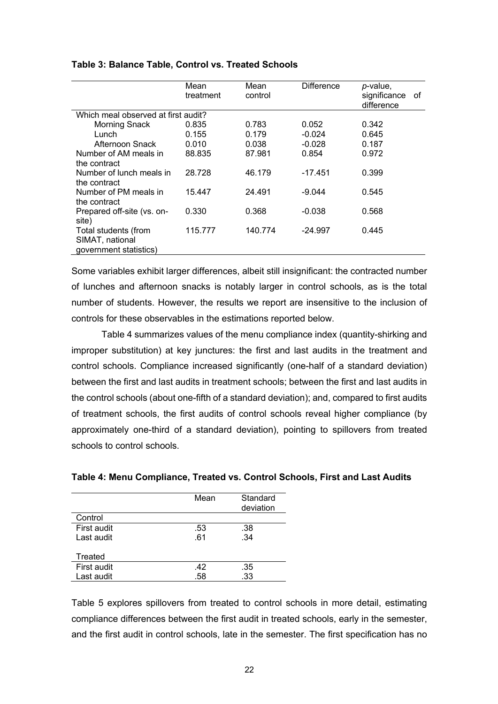|                                     | Mean<br>treatment | Mean<br>control | Difference | p-value,<br>significance<br>difference | οf |
|-------------------------------------|-------------------|-----------------|------------|----------------------------------------|----|
| Which meal observed at first audit? |                   |                 |            |                                        |    |
| <b>Morning Snack</b>                | 0.835             | 0.783           | 0.052      | 0.342                                  |    |
| Lunch                               | 0.155             | 0.179           | $-0.024$   | 0.645                                  |    |
| Afternoon Snack                     | 0.010             | 0.038           | $-0.028$   | 0.187                                  |    |
| Number of AM meals in               | 88.835            | 87.981          | 0.854      | 0.972                                  |    |
| the contract                        |                   |                 |            |                                        |    |
| Number of lunch meals in            | 28.728            | 46.179          | $-17.451$  | 0.399                                  |    |
| the contract                        |                   |                 |            |                                        |    |
| Number of PM meals in               | 15.447            | 24.491          | $-9.044$   | 0.545                                  |    |
| the contract                        |                   |                 |            |                                        |    |
| Prepared off-site (vs. on-          | 0.330             | 0.368           | $-0.038$   | 0.568                                  |    |
| site)                               |                   |                 |            |                                        |    |
| Total students (from                | 115.777           | 140.774         | $-24.997$  | 0.445                                  |    |
| SIMAT, national                     |                   |                 |            |                                        |    |
| government statistics)              |                   |                 |            |                                        |    |

#### **Table 3: Balance Table, Control vs. Treated Schools**

Some variables exhibit larger differences, albeit still insignificant: the contracted number of lunches and afternoon snacks is notably larger in control schools, as is the total number of students. However, the results we report are insensitive to the inclusion of controls for these observables in the estimations reported below.

Table 4 summarizes values of the menu compliance index (quantity-shirking and improper substitution) at key junctures: the first and last audits in the treatment and control schools. Compliance increased significantly (one-half of a standard deviation) between the first and last audits in treatment schools; between the first and last audits in the control schools (about one-fifth of a standard deviation); and, compared to first audits of treatment schools, the first audits of control schools reveal higher compliance (by approximately one-third of a standard deviation), pointing to spillovers from treated schools to control schools.

|             | Mean | Standard<br>deviation |
|-------------|------|-----------------------|
| Control     |      |                       |
| First audit | .53  | .38                   |
| Last audit  | .61  | .34                   |
| Treated     |      |                       |
| First audit | .42  | .35                   |
| Last audit  | .58  | .33                   |

#### **Table 4: Menu Compliance, Treated vs. Control Schools, First and Last Audits**

Table 5 explores spillovers from treated to control schools in more detail, estimating compliance differences between the first audit in treated schools, early in the semester, and the first audit in control schools, late in the semester. The first specification has no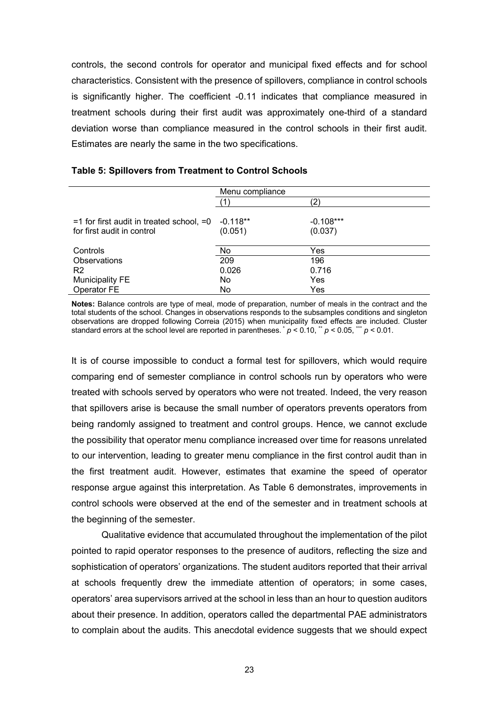controls, the second controls for operator and municipal fixed effects and for school characteristics. Consistent with the presence of spillovers, compliance in control schools is significantly higher. The coefficient -0.11 indicates that compliance measured in treatment schools during their first audit was approximately one-third of a standard deviation worse than compliance measured in the control schools in their first audit. Estimates are nearly the same in the two specifications.

| Menu compliance |             |
|-----------------|-------------|
|                 |             |
|                 |             |
| $-0.118**$      | $-0.108***$ |
| (0.051)         | (0.037)     |
|                 |             |
| No              | Yes         |
| 209             | 196         |
| 0.026           | 0.716       |
| No              | Yes         |
| No              | Yes         |
|                 |             |

#### **Table 5: Spillovers from Treatment to Control Schools**

**Notes:** Balance controls are type of meal, mode of preparation, number of meals in the contract and the total students of the school. Changes in observations responds to the subsamples conditions and singleton observations are dropped following Correia (2015) when municipality fixed effects are included. Cluster standard errors at the school level are reported in parentheses.  $\dot{p}$  < 0.10,  $\ddot{p}$   $p$  < 0.05,  $\dddot{p}$  = 0.01.

It is of course impossible to conduct a formal test for spillovers, which would require comparing end of semester compliance in control schools run by operators who were treated with schools served by operators who were not treated. Indeed, the very reason that spillovers arise is because the small number of operators prevents operators from being randomly assigned to treatment and control groups. Hence, we cannot exclude the possibility that operator menu compliance increased over time for reasons unrelated to our intervention, leading to greater menu compliance in the first control audit than in the first treatment audit. However, estimates that examine the speed of operator response argue against this interpretation. As Table 6 demonstrates, improvements in control schools were observed at the end of the semester and in treatment schools at the beginning of the semester.

Qualitative evidence that accumulated throughout the implementation of the pilot pointed to rapid operator responses to the presence of auditors, reflecting the size and sophistication of operators' organizations. The student auditors reported that their arrival at schools frequently drew the immediate attention of operators; in some cases, operators' area supervisors arrived at the school in less than an hour to question auditors about their presence. In addition, operators called the departmental PAE administrators to complain about the audits. This anecdotal evidence suggests that we should expect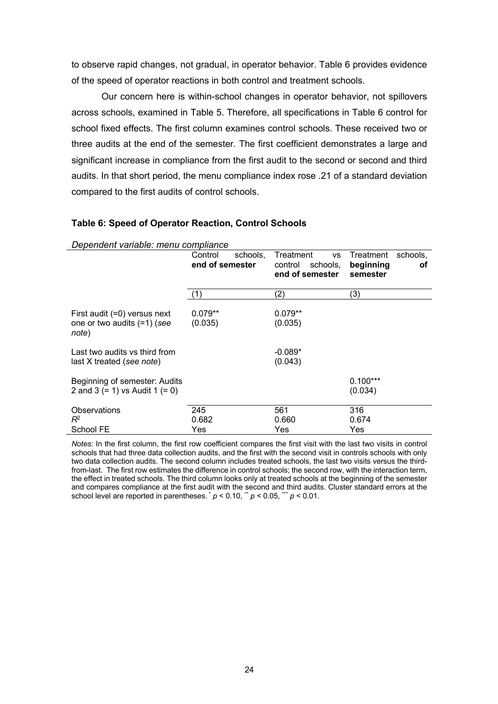to observe rapid changes, not gradual, in operator behavior. Table 6 provides evidence of the speed of operator reactions in both control and treatment schools.

Our concern here is within-school changes in operator behavior, not spillovers across schools, examined in Table 5. Therefore, all specifications in Table 6 control for school fixed effects. The first column examines control schools. These received two or three audits at the end of the semester. The first coefficient demonstrates a large and significant increase in compliance from the first audit to the second or second and third audits. In that short period, the menu compliance index rose .21 of a standard deviation compared to the first audits of control schools.

#### **Table 6: Speed of Operator Reaction, Control Schools**

*Dependent variable: menu compliance*

|                                                                      | Control<br>schools,<br>end of semester | Treatment<br>VS<br>control<br>schools,<br>end of semester | Treatment<br>schools,<br>beginning<br>оf<br>semester |
|----------------------------------------------------------------------|----------------------------------------|-----------------------------------------------------------|------------------------------------------------------|
|                                                                      | (1)                                    | (2)                                                       | (3)                                                  |
| First audit (=0) versus next<br>one or two audits (=1) (see<br>note) | $0.079**$<br>(0.035)                   | $0.079**$<br>(0.035)                                      |                                                      |
| Last two audits vs third from<br>last X treated (see note)           |                                        | $-0.089*$<br>(0.043)                                      |                                                      |
| Beginning of semester: Audits<br>2 and 3 (= 1) vs Audit 1 (= 0)      |                                        |                                                           | $0.100***$<br>(0.034)                                |
| Observations<br>$R^2$<br>School FE                                   | 245<br>0.682<br>Yes                    | 561<br>0.660<br>Yes                                       | 316<br>0.674<br>Yes                                  |

*Notes:* In the first column, the first row coefficient compares the first visit with the last two visits in control schools that had three data collection audits, and the first with the second visit in controls schools with only two data collection audits. The second column includes treated schools, the last two visits versus the thirdfrom-last. The first row estimates the difference in control schools; the second row, with the interaction term, the effect in treated schools. The third column looks only at treated schools at the beginning of the semester and compares compliance at the first audit with the second and third audits. Cluster standard errors at the school level are reported in parentheses.  $\dot{p}$  < 0.10,  $\dot{p}$  < 0.05,  $\dot{p}$  < 0.01.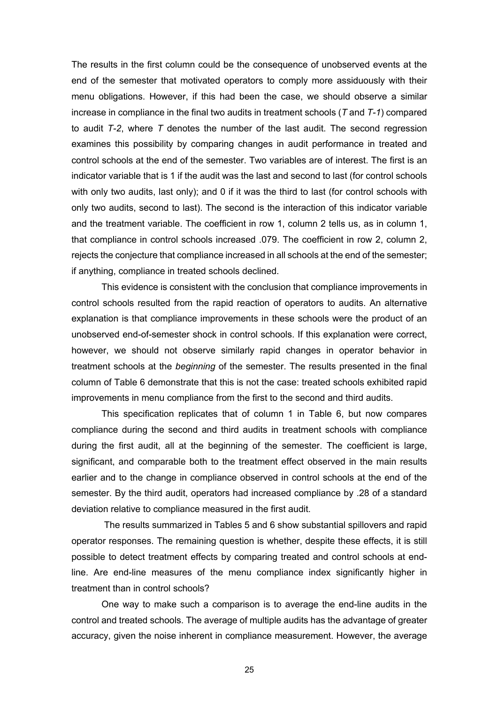The results in the first column could be the consequence of unobserved events at the end of the semester that motivated operators to comply more assiduously with their menu obligations. However, if this had been the case, we should observe a similar increase in compliance in the final two audits in treatment schools (*T* and *T-1*) compared to audit *T-2*, where *T* denotes the number of the last audit. The second regression examines this possibility by comparing changes in audit performance in treated and control schools at the end of the semester. Two variables are of interest. The first is an indicator variable that is 1 if the audit was the last and second to last (for control schools with only two audits, last only); and 0 if it was the third to last (for control schools with only two audits, second to last). The second is the interaction of this indicator variable and the treatment variable. The coefficient in row 1, column 2 tells us, as in column 1, that compliance in control schools increased .079. The coefficient in row 2, column 2, rejects the conjecture that compliance increased in all schools at the end of the semester; if anything, compliance in treated schools declined.

This evidence is consistent with the conclusion that compliance improvements in control schools resulted from the rapid reaction of operators to audits. An alternative explanation is that compliance improvements in these schools were the product of an unobserved end-of-semester shock in control schools. If this explanation were correct, however, we should not observe similarly rapid changes in operator behavior in treatment schools at the *beginning* of the semester. The results presented in the final column of Table 6 demonstrate that this is not the case: treated schools exhibited rapid improvements in menu compliance from the first to the second and third audits.

This specification replicates that of column 1 in Table 6, but now compares compliance during the second and third audits in treatment schools with compliance during the first audit, all at the beginning of the semester. The coefficient is large, significant, and comparable both to the treatment effect observed in the main results earlier and to the change in compliance observed in control schools at the end of the semester. By the third audit, operators had increased compliance by .28 of a standard deviation relative to compliance measured in the first audit.

The results summarized in Tables 5 and 6 show substantial spillovers and rapid operator responses. The remaining question is whether, despite these effects, it is still possible to detect treatment effects by comparing treated and control schools at endline. Are end-line measures of the menu compliance index significantly higher in treatment than in control schools?

One way to make such a comparison is to average the end-line audits in the control and treated schools. The average of multiple audits has the advantage of greater accuracy, given the noise inherent in compliance measurement. However, the average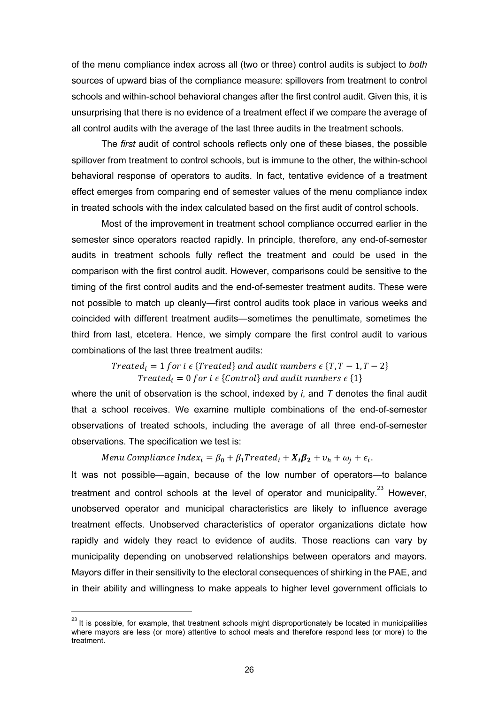of the menu compliance index across all (two or three) control audits is subject to *both* sources of upward bias of the compliance measure: spillovers from treatment to control schools and within-school behavioral changes after the first control audit. Given this, it is unsurprising that there is no evidence of a treatment effect if we compare the average of all control audits with the average of the last three audits in the treatment schools.

The *first* audit of control schools reflects only one of these biases, the possible spillover from treatment to control schools, but is immune to the other, the within-school behavioral response of operators to audits. In fact, tentative evidence of a treatment effect emerges from comparing end of semester values of the menu compliance index in treated schools with the index calculated based on the first audit of control schools.

Most of the improvement in treatment school compliance occurred earlier in the semester since operators reacted rapidly. In principle, therefore, any end-of-semester audits in treatment schools fully reflect the treatment and could be used in the comparison with the first control audit. However, comparisons could be sensitive to the timing of the first control audits and the end-of-semester treatment audits. These were not possible to match up cleanly—first control audits took place in various weeks and coincided with different treatment audits—sometimes the penultimate, sometimes the third from last, etcetera. Hence, we simply compare the first control audit to various combinations of the last three treatment audits:

> Treated<sub>i</sub> = 1 for i  $\epsilon$  {Treated} and audit numbers  $\epsilon$  {T, T - 1, T - 2} Treated<sub>i</sub> = 0 for i  $\epsilon$  {Control} and audit numbers  $\epsilon$  {1}

where the unit of observation is the school, indexed by *i*, and *T* denotes the final audit that a school receives. We examine multiple combinations of the end-of-semester observations of treated schools, including the average of all three end-of-semester observations. The specification we test is:

Menu Compliance Index<sub>i</sub> =  $\beta_0 + \beta_1 T$ reated<sub>i</sub> +  $X_i \beta_2 + v_h + \omega_i + \epsilon_i$ .

It was not possible—again, because of the low number of operators—to balance treatment and control schools at the level of operator and municipality. $^{23}$  However, unobserved operator and municipal characteristics are likely to influence average treatment effects. Unobserved characteristics of operator organizations dictate how rapidly and widely they react to evidence of audits. Those reactions can vary by municipality depending on unobserved relationships between operators and mayors. Mayors differ in their sensitivity to the electoral consequences of shirking in the PAE, and in their ability and willingness to make appeals to higher level government officials to

<sup>&</sup>lt;sup>23</sup> It is possible, for example, that treatment schools might disproportionately be located in municipalities where mayors are less (or more) attentive to school meals and therefore respond less (or more) to the treatment.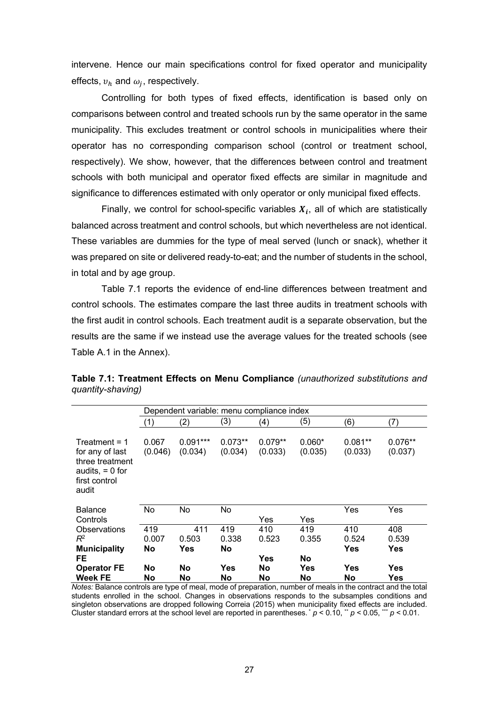intervene. Hence our main specifications control for fixed operator and municipality effects,  $v_h$  and  $\omega_i$ , respectively.

Controlling for both types of fixed effects, identification is based only on comparisons between control and treated schools run by the same operator in the same municipality. This excludes treatment or control schools in municipalities where their operator has no corresponding comparison school (control or treatment school, respectively). We show, however, that the differences between control and treatment schools with both municipal and operator fixed effects are similar in magnitude and significance to differences estimated with only operator or only municipal fixed effects.

Finally, we control for school-specific variables  $X_i$ , all of which are statistically balanced across treatment and control schools, but which nevertheless are not identical. These variables are dummies for the type of meal served (lunch or snack), whether it was prepared on site or delivered ready-to-eat; and the number of students in the school, in total and by age group.

Table 7.1 reports the evidence of end-line differences between treatment and control schools. The estimates compare the last three audits in treatment schools with the first audit in control schools. Each treatment audit is a separate observation, but the results are the same if we instead use the average values for the treated schools (see Table A.1 in the Annex).

|                                                                                                      | Dependent variable: menu compliance index |                       |                           |                      |                     |                      |                            |
|------------------------------------------------------------------------------------------------------|-------------------------------------------|-----------------------|---------------------------|----------------------|---------------------|----------------------|----------------------------|
|                                                                                                      | (1)                                       | (2)                   | (3)                       | (4)                  | (5)                 | (6)                  | (7)                        |
| $Treatment = 1$<br>for any of last<br>three treatment<br>audits, $= 0$ for<br>first control<br>audit | 0.067<br>(0.046)                          | $0.091***$<br>(0.034) | $0.073**$<br>(0.034)      | $0.079**$<br>(0.033) | $0.060*$<br>(0.035) | $0.081**$<br>(0.033) | $0.076**$<br>(0.037)       |
| <b>Balance</b><br>Controls                                                                           | <b>No</b>                                 | No                    | No                        | Yes                  | Yes                 | Yes                  | Yes                        |
| Observations<br>$R^2$<br><b>Municipality</b>                                                         | 419<br>0.007<br>No                        | 411<br>0.503<br>Yes   | 419<br>0.338<br><b>No</b> | 410<br>0.523         | 419<br>0.355        | 410<br>0.524<br>Yes  | 408<br>0.539<br><b>Yes</b> |
| FE<br><b>Operator FE</b><br><b>Week FE</b>                                                           | No<br>No                                  | No<br>No              | Yes<br>No                 | Yes<br>No<br>No      | No<br>Yes<br>No     | Yes<br>No            | Yes<br>Yes                 |

| Table 7.1: Treatment Effects on Menu Compliance (unauthorized substitutions and |  |  |
|---------------------------------------------------------------------------------|--|--|
| quantity-shaving)                                                               |  |  |

*Notes:* Balance controls are type of meal, mode of preparation, number of meals in the contract and the total students enrolled in the school. Changes in observations responds to the subsamples conditions and singleton observations are dropped following Correia (2015) when municipality fixed effects are included. Cluster standard errors at the school level are reported in parentheses.  $\dot{p}$  < 0.10,  $\dot{p}$  < 0.05,  $\dot{p}$  < 0.01.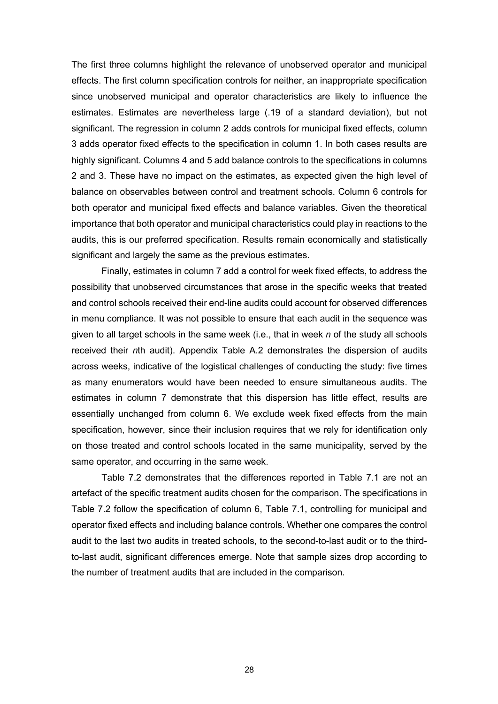The first three columns highlight the relevance of unobserved operator and municipal effects. The first column specification controls for neither, an inappropriate specification since unobserved municipal and operator characteristics are likely to influence the estimates. Estimates are nevertheless large (.19 of a standard deviation), but not significant. The regression in column 2 adds controls for municipal fixed effects, column 3 adds operator fixed effects to the specification in column 1. In both cases results are highly significant. Columns 4 and 5 add balance controls to the specifications in columns 2 and 3. These have no impact on the estimates, as expected given the high level of balance on observables between control and treatment schools. Column 6 controls for both operator and municipal fixed effects and balance variables. Given the theoretical importance that both operator and municipal characteristics could play in reactions to the audits, this is our preferred specification. Results remain economically and statistically significant and largely the same as the previous estimates.

Finally, estimates in column 7 add a control for week fixed effects, to address the possibility that unobserved circumstances that arose in the specific weeks that treated and control schools received their end-line audits could account for observed differences in menu compliance. It was not possible to ensure that each audit in the sequence was given to all target schools in the same week (i.e., that in week *n* of the study all schools received their *n*th audit). Appendix Table A.2 demonstrates the dispersion of audits across weeks, indicative of the logistical challenges of conducting the study: five times as many enumerators would have been needed to ensure simultaneous audits. The estimates in column 7 demonstrate that this dispersion has little effect, results are essentially unchanged from column 6. We exclude week fixed effects from the main specification, however, since their inclusion requires that we rely for identification only on those treated and control schools located in the same municipality, served by the same operator, and occurring in the same week.

Table 7.2 demonstrates that the differences reported in Table 7.1 are not an artefact of the specific treatment audits chosen for the comparison. The specifications in Table 7.2 follow the specification of column 6, Table 7.1, controlling for municipal and operator fixed effects and including balance controls. Whether one compares the control audit to the last two audits in treated schools, to the second-to-last audit or to the thirdto-last audit, significant differences emerge. Note that sample sizes drop according to the number of treatment audits that are included in the comparison.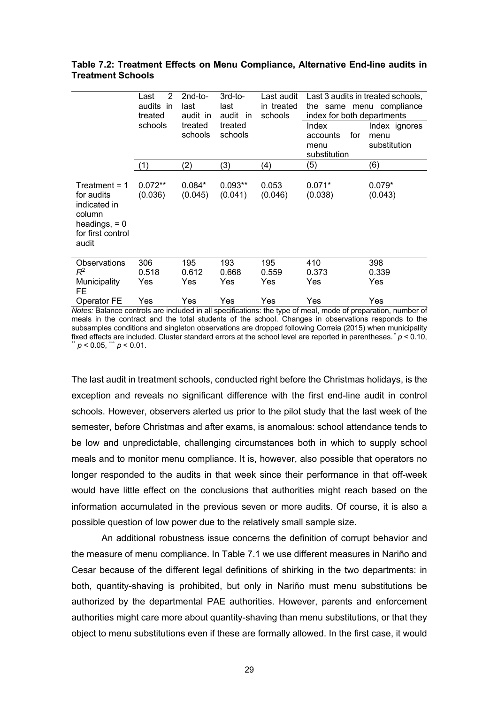|                                                                                                          | 2<br>Last<br>audits in<br>treated | $2nd-to-$<br>last<br>audit in | $3rd-to-$<br>last<br>audit in                              | Last audit<br>in treated<br>schools | Last 3 audits in treated schools,<br>the same menu compliance<br>index for both departments |                                       |
|----------------------------------------------------------------------------------------------------------|-----------------------------------|-------------------------------|------------------------------------------------------------|-------------------------------------|---------------------------------------------------------------------------------------------|---------------------------------------|
|                                                                                                          | schools                           | schools                       | treated<br>treated<br>Index<br>schools<br>accounts<br>menu |                                     | for<br>substitution                                                                         | Index ignores<br>menu<br>substitution |
|                                                                                                          | (1)                               | (2)                           | (3)                                                        | (4)                                 | (5)                                                                                         | (6)                                   |
| Treatment = $1$<br>for audits<br>indicated in<br>column<br>headings, $= 0$<br>for first control<br>audit | $0.072**$<br>(0.036)              | $0.084*$<br>(0.045)           | $0.093**$<br>(0.041)                                       | 0.053<br>(0.046)                    | $0.071*$<br>(0.038)                                                                         | $0.079*$<br>(0.043)                   |
| Observations<br>$R^2$                                                                                    | 306<br>0.518                      | 195<br>0.612                  | 193<br>0.668                                               | 195<br>0.559                        | 410<br>0.373                                                                                | 398<br>0.339                          |
| Municipality<br>FE.                                                                                      | Yes                               | Yes                           | Yes                                                        | Yes                                 | Yes                                                                                         | Yes                                   |
| Operator FE                                                                                              | Yes                               | Yes                           | Yes                                                        | Yes                                 | Yes                                                                                         | Yes                                   |

**Table 7.2: Treatment Effects on Menu Compliance, Alternative End-line audits in Treatment Schools**

*Notes:* Balance controls are included in all specifications: the type of meal, mode of preparation, number of meals in the contract and the total students of the school. Changes in observations responds to the subsamples conditions and singleton observations are dropped following Correia (2015) when municipality fixed effects are included. Cluster standard errors at the school level are reported in parentheses.  $p < 0.10$ ,  $p < 0.01$ .

The last audit in treatment schools, conducted right before the Christmas holidays, is the exception and reveals no significant difference with the first end-line audit in control schools. However, observers alerted us prior to the pilot study that the last week of the semester, before Christmas and after exams, is anomalous: school attendance tends to be low and unpredictable, challenging circumstances both in which to supply school meals and to monitor menu compliance. It is, however, also possible that operators no longer responded to the audits in that week since their performance in that off-week would have little effect on the conclusions that authorities might reach based on the information accumulated in the previous seven or more audits. Of course, it is also a possible question of low power due to the relatively small sample size.

An additional robustness issue concerns the definition of corrupt behavior and the measure of menu compliance. In Table 7.1 we use different measures in Nariño and Cesar because of the different legal definitions of shirking in the two departments: in both, quantity-shaving is prohibited, but only in Nariño must menu substitutions be authorized by the departmental PAE authorities. However, parents and enforcement authorities might care more about quantity-shaving than menu substitutions, or that they object to menu substitutions even if these are formally allowed. In the first case, it would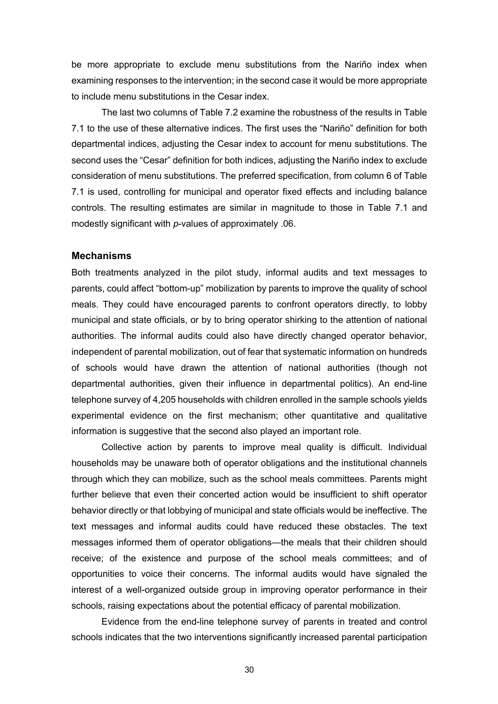be more appropriate to exclude menu substitutions from the Nariño index when examining responses to the intervention; in the second case it would be more appropriate to include menu substitutions in the Cesar index.

The last two columns of Table 7.2 examine the robustness of the results in Table 7.1 to the use of these alternative indices. The first uses the "Nariño" definition for both departmental indices, adjusting the Cesar index to account for menu substitutions. The second uses the "Cesar" definition for both indices, adjusting the Nariño index to exclude consideration of menu substitutions. The preferred specification, from column 6 of Table 7.1 is used, controlling for municipal and operator fixed effects and including balance controls. The resulting estimates are similar in magnitude to those in Table 7.1 and modestly significant with *p*-values of approximately .06.

#### **Mechanisms**

Both treatments analyzed in the pilot study, informal audits and text messages to parents, could affect "bottom-up" mobilization by parents to improve the quality of school meals. They could have encouraged parents to confront operators directly, to lobby municipal and state officials, or by to bring operator shirking to the attention of national authorities. The informal audits could also have directly changed operator behavior, independent of parental mobilization, out of fear that systematic information on hundreds of schools would have drawn the attention of national authorities (though not departmental authorities, given their influence in departmental politics). An end-line telephone survey of 4,205 households with children enrolled in the sample schools yields experimental evidence on the first mechanism; other quantitative and qualitative information is suggestive that the second also played an important role.

Collective action by parents to improve meal quality is difficult. Individual households may be unaware both of operator obligations and the institutional channels through which they can mobilize, such as the school meals committees. Parents might further believe that even their concerted action would be insufficient to shift operator behavior directly or that lobbying of municipal and state officials would be ineffective. The text messages and informal audits could have reduced these obstacles. The text messages informed them of operator obligations—the meals that their children should receive; of the existence and purpose of the school meals committees; and of opportunities to voice their concerns. The informal audits would have signaled the interest of a well-organized outside group in improving operator performance in their schools, raising expectations about the potential efficacy of parental mobilization.

Evidence from the end-line telephone survey of parents in treated and control schools indicates that the two interventions significantly increased parental participation

30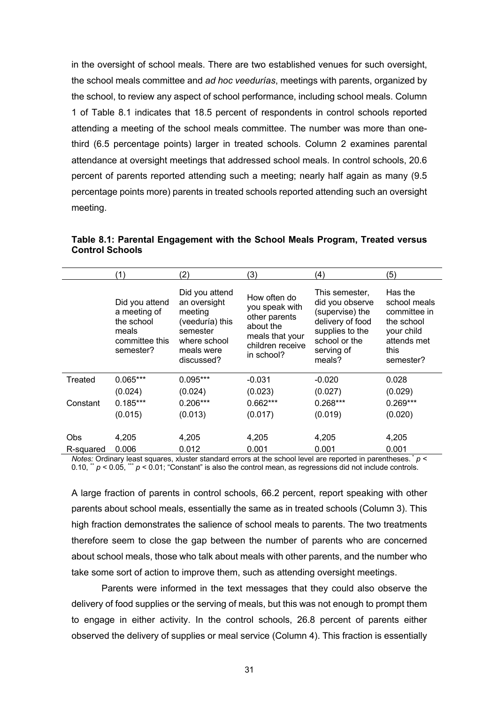in the oversight of school meals. There are two established venues for such oversight, the school meals committee and *ad hoc veedurías*, meetings with parents, organized by the school, to review any aspect of school performance, including school meals. Column 1 of Table 8.1 indicates that 18.5 percent of respondents in control schools reported attending a meeting of the school meals committee. The number was more than onethird (6.5 percentage points) larger in treated schools. Column 2 examines parental attendance at oversight meetings that addressed school meals. In control schools, 20.6 percent of parents reported attending such a meeting; nearly half again as many (9.5 percentage points more) parents in treated schools reported attending such an oversight meeting.

**Table 8.1: Parental Engagement with the School Meals Program, Treated versus Control Schools**

|            | (1)                                                                                  | (2)                                                                                                                  | (3)                                                                                                               | (4)                                                                                                                                  | (5)                                                                                                     |  |
|------------|--------------------------------------------------------------------------------------|----------------------------------------------------------------------------------------------------------------------|-------------------------------------------------------------------------------------------------------------------|--------------------------------------------------------------------------------------------------------------------------------------|---------------------------------------------------------------------------------------------------------|--|
|            | Did you attend<br>a meeting of<br>the school<br>meals<br>committee this<br>semester? | Did you attend<br>an oversight<br>meeting<br>(veeduría) this<br>semester<br>where school<br>meals were<br>discussed? | How often do<br>you speak with<br>other parents<br>about the<br>meals that your<br>children receive<br>in school? | This semester,<br>did you observe<br>(supervise) the<br>delivery of food<br>supplies to the<br>school or the<br>serving of<br>meals? | Has the<br>school meals<br>committee in<br>the school<br>your child<br>attends met<br>this<br>semester? |  |
| Treated    | $0.065***$                                                                           | $0.095***$                                                                                                           | $-0.031$                                                                                                          | $-0.020$                                                                                                                             | 0.028                                                                                                   |  |
|            | (0.024)                                                                              | (0.024)                                                                                                              | (0.023)                                                                                                           | (0.027)                                                                                                                              | (0.029)                                                                                                 |  |
| Constant   | $0.185***$                                                                           | $0.206***$                                                                                                           | $0.662***$                                                                                                        | $0.268***$                                                                                                                           | $0.269***$                                                                                              |  |
|            | (0.015)                                                                              | (0.013)                                                                                                              | (0.017)                                                                                                           | (0.019)                                                                                                                              | (0.020)                                                                                                 |  |
|            |                                                                                      |                                                                                                                      |                                                                                                                   |                                                                                                                                      |                                                                                                         |  |
| <b>Obs</b> | 4,205                                                                                | 4,205                                                                                                                | 4,205                                                                                                             | 4,205                                                                                                                                | 4,205                                                                                                   |  |
| R-squared  | 0.006                                                                                | 0.012                                                                                                                | 0.001                                                                                                             | 0.001                                                                                                                                | 0.001                                                                                                   |  |

*Notes:* Ordinary least squares, xluster standard errors at the school level are reported in parentheses.  $p \lt p$ 0.10,  $\mu$   $p$  < 0.05,  $\mu$   $p$  < 0.01; "Constant" is also the control mean, as regressions did not include controls.

A large fraction of parents in control schools, 66.2 percent, report speaking with other parents about school meals, essentially the same as in treated schools (Column 3). This high fraction demonstrates the salience of school meals to parents. The two treatments therefore seem to close the gap between the number of parents who are concerned about school meals, those who talk about meals with other parents, and the number who take some sort of action to improve them, such as attending oversight meetings.

Parents were informed in the text messages that they could also observe the delivery of food supplies or the serving of meals, but this was not enough to prompt them to engage in either activity. In the control schools, 26.8 percent of parents either observed the delivery of supplies or meal service (Column 4). This fraction is essentially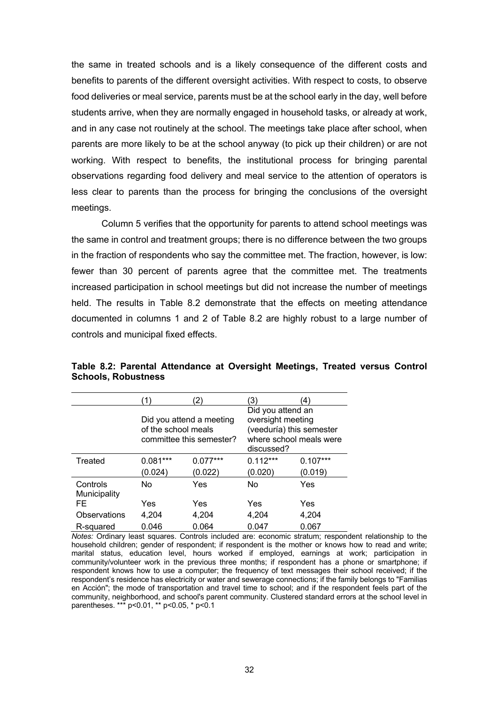the same in treated schools and is a likely consequence of the different costs and benefits to parents of the different oversight activities. With respect to costs, to observe food deliveries or meal service, parents must be at the school early in the day, well before students arrive, when they are normally engaged in household tasks, or already at work, and in any case not routinely at the school. The meetings take place after school, when parents are more likely to be at the school anyway (to pick up their children) or are not working. With respect to benefits, the institutional process for bringing parental observations regarding food delivery and meal service to the attention of operators is less clear to parents than the process for bringing the conclusions of the oversight meetings.

Column 5 verifies that the opportunity for parents to attend school meetings was the same in control and treatment groups; there is no difference between the two groups in the fraction of respondents who say the committee met. The fraction, however, is low: fewer than 30 percent of parents agree that the committee met. The treatments increased participation in school meetings but did not increase the number of meetings held. The results in Table 8.2 demonstrate that the effects on meeting attendance documented in columns 1 and 2 of Table 8.2 are highly robust to a large number of controls and municipal fixed effects.

|                          |                     | $^{2}$                                               | 3)                                                                                                          | 4)         |  |
|--------------------------|---------------------|------------------------------------------------------|-------------------------------------------------------------------------------------------------------------|------------|--|
|                          | of the school meals | Did you attend a meeting<br>committee this semester? | Did you attend an<br>oversight meeting<br>(veeduría) this semester<br>where school meals were<br>discussed? |            |  |
| Treated                  | $0.081***$          | $0.077***$                                           | $0.112***$                                                                                                  | $0.107***$ |  |
|                          | (0.024)             | (0.022)                                              | (0.020)                                                                                                     | (0.019)    |  |
| Controls<br>Municipality | No                  | Yes                                                  | No                                                                                                          | Yes        |  |
| FE                       | Yes                 | Yes                                                  | Yes                                                                                                         | Yes        |  |
| Observations             | 4,204               | 4,204                                                | 4,204                                                                                                       | 4,204      |  |
| R-squared                | 0.046               | 0.064                                                | 0.047                                                                                                       | 0.067      |  |

**Table 8.2: Parental Attendance at Oversight Meetings, Treated versus Control Schools, Robustness**

*Notes:* Ordinary least squares. Controls included are: economic stratum; respondent relationship to the household children; gender of respondent; if respondent is the mother or knows how to read and write; marital status, education level, hours worked if employed, earnings at work; participation in community/volunteer work in the previous three months; if respondent has a phone or smartphone; if respondent knows how to use a computer; the frequency of text messages their school received; if the respondent's residence has electricity or water and sewerage connections; if the family belongs to "Familias en Acción"; the mode of transportation and travel time to school; and if the respondent feels part of the community, neighborhood, and school's parent community. Clustered standard errors at the school level in parentheses. \*\*\* p<0.01, \*\* p<0.05, \* p<0.1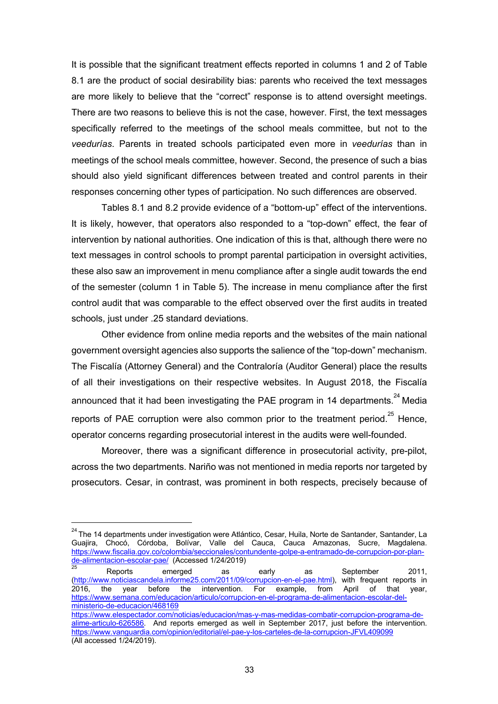It is possible that the significant treatment effects reported in columns 1 and 2 of Table 8.1 are the product of social desirability bias: parents who received the text messages are more likely to believe that the "correct" response is to attend oversight meetings. There are two reasons to believe this is not the case, however. First, the text messages specifically referred to the meetings of the school meals committee, but not to the *veedurías*. Parents in treated schools participated even more in *veedurías* than in meetings of the school meals committee, however. Second, the presence of such a bias should also yield significant differences between treated and control parents in their responses concerning other types of participation. No such differences are observed.

Tables 8.1 and 8.2 provide evidence of a "bottom-up" effect of the interventions. It is likely, however, that operators also responded to a "top-down" effect, the fear of intervention by national authorities. One indication of this is that, although there were no text messages in control schools to prompt parental participation in oversight activities, these also saw an improvement in menu compliance after a single audit towards the end of the semester (column 1 in Table 5). The increase in menu compliance after the first control audit that was comparable to the effect observed over the first audits in treated schools, just under .25 standard deviations.

Other evidence from online media reports and the websites of the main national government oversight agencies also supports the salience of the "top-down" mechanism. The Fiscalía (Attorney General) and the Contraloría (Auditor General) place the results of all their investigations on their respective websites. In August 2018, the Fiscalía announced that it had been investigating the PAE program in 14 departments. $^{24}$  Media reports of PAE corruption were also common prior to the treatment period. $^{25}$  Hence, operator concerns regarding prosecutorial interest in the audits were well-founded.

Moreover, there was a significant difference in prosecutorial activity, pre-pilot, across the two departments. Nariño was not mentioned in media reports nor targeted by prosecutors. Cesar, in contrast, was prominent in both respects, precisely because of

<sup>&</sup>lt;sup>24</sup> The 14 departments under investigation were Atlántico, Cesar, Huila, Norte de Santander, Santander, La Guajira, Chocó, Córdoba, Bolívar, Valle del Cauca, Cauca Amazonas, Sucre, Magdalena. https://www.fiscalia.gov.co/colombia/seccionales/contundente-golpe-a-entramado-de-corrupcion-por-plande-alimentacion-escolar-pae/ (Accessed 1/24/2019)

 $^{25}$  Reports emerged as early as September 2011, (http://www.noticiascandela.informe25.com/2011/09/corrupcion-en-el-pae.html), with frequent reports in 2016, the year before the intervention. For example, from April of that year, 2016, the year before the intervention. For example, from April of that year, https://www.semana.com/educacion/articulo/corrupcion-en-el-programa-de-alimentacion-escolar-delministerio-de-educacion/468169

https://www.elespectador.com/noticias/educacion/mas-y-mas-medidas-combatir-corrupcion-programa-dealime-articulo-626586. And reports emerged as well in September 2017, just before the intervention. https://www.vanguardia.com/opinion/editorial/el-pae-y-los-carteles-de-la-corrupcion-JFVL409099 (All accessed 1/24/2019).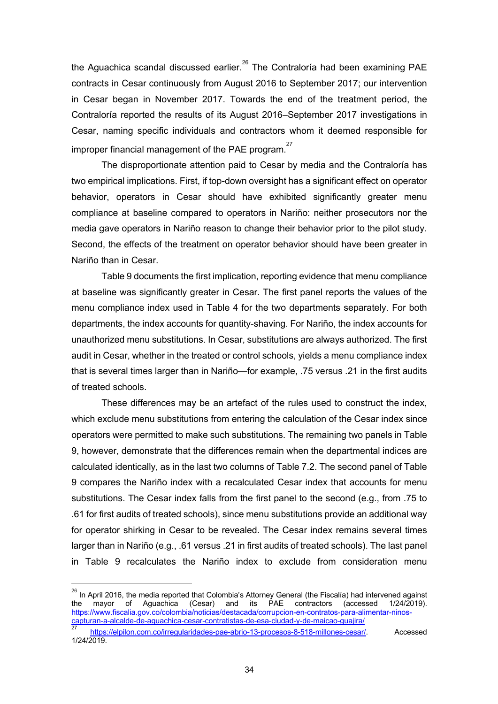the Aguachica scandal discussed earlier.<sup>26</sup> The Contraloría had been examining PAE contracts in Cesar continuously from August 2016 to September 2017; our intervention in Cesar began in November 2017. Towards the end of the treatment period, the Contraloría reported the results of its August 2016–September 2017 investigations in Cesar, naming specific individuals and contractors whom it deemed responsible for improper financial management of the PAE program.<sup>27</sup>

The disproportionate attention paid to Cesar by media and the Contraloría has two empirical implications. First, if top-down oversight has a significant effect on operator behavior, operators in Cesar should have exhibited significantly greater menu compliance at baseline compared to operators in Nariño: neither prosecutors nor the media gave operators in Nariño reason to change their behavior prior to the pilot study. Second, the effects of the treatment on operator behavior should have been greater in Nariño than in Cesar.

Table 9 documents the first implication, reporting evidence that menu compliance at baseline was significantly greater in Cesar. The first panel reports the values of the menu compliance index used in Table 4 for the two departments separately. For both departments, the index accounts for quantity-shaving. For Nariño, the index accounts for unauthorized menu substitutions. In Cesar, substitutions are always authorized. The first audit in Cesar, whether in the treated or control schools, yields a menu compliance index that is several times larger than in Nariño—for example, .75 versus .21 in the first audits of treated schools.

These differences may be an artefact of the rules used to construct the index, which exclude menu substitutions from entering the calculation of the Cesar index since operators were permitted to make such substitutions. The remaining two panels in Table 9, however, demonstrate that the differences remain when the departmental indices are calculated identically, as in the last two columns of Table 7.2. The second panel of Table 9 compares the Nariño index with a recalculated Cesar index that accounts for menu substitutions. The Cesar index falls from the first panel to the second (e.g., from .75 to .61 for first audits of treated schools), since menu substitutions provide an additional way for operator shirking in Cesar to be revealed. The Cesar index remains several times larger than in Nariño (e.g., .61 versus .21 in first audits of treated schools). The last panel in Table 9 recalculates the Nariño index to exclude from consideration menu

<sup>&</sup>lt;sup>26</sup> In April 2016, the media reported that Colombia's Attorney General (the Fiscalía) had intervened against the mayor of Aguachica (Cesar) and its PAE contractors (accessed 1/24/2019). https://www.fiscalia.gov.co/colombia/noticias/destacada/corrupcion-en-contratos-para-alimentar-ninoscapturan-a-alcalde-de-aguachica-cesar-contratistas-de-esa-ciudad-y-de-maicao-guajira/

<sup>27</sup> https://elpilon.com.co/irregularidades-pae-abrio-13-procesos-8-518-millones-cesar/. Accessed 1/24/2019.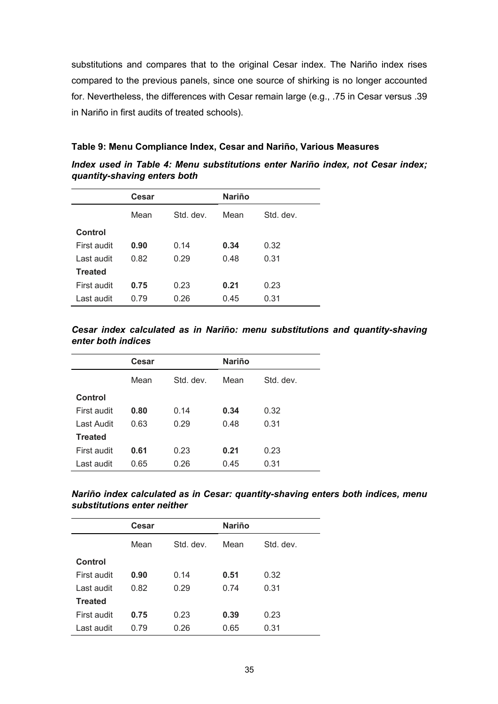substitutions and compares that to the original Cesar index. The Nariño index rises compared to the previous panels, since one source of shirking is no longer accounted for. Nevertheless, the differences with Cesar remain large (e.g., .75 in Cesar versus .39 in Nariño in first audits of treated schools).

#### **Table 9: Menu Compliance Index, Cesar and Nariño, Various Measures**

| Index used in Table 4: Menu substitutions enter Nariño index, not Cesar index; |  |  |  |  |  |
|--------------------------------------------------------------------------------|--|--|--|--|--|
| quantity-shaving enters both                                                   |  |  |  |  |  |
|                                                                                |  |  |  |  |  |

|                | Cesar |           | <b>Nariño</b> |           |
|----------------|-------|-----------|---------------|-----------|
|                | Mean  | Std. dev. | Mean          | Std. dev. |
| Control        |       |           |               |           |
| First audit    | 0.90  | 0.14      | 0.34          | 0.32      |
| Last audit     | 0.82  | 0.29      | 0.48          | 0.31      |
| <b>Treated</b> |       |           |               |           |
| First audit    | 0.75  | 0.23      | 0.21          | 0.23      |
| Last audit     | 0.79  | 0.26      | 0.45          | 0.31      |

#### *Cesar index calculated as in Nariño: menu substitutions and quantity-shaving enter both indices*

|                | Cesar |           | <b>Nariño</b> |           |
|----------------|-------|-----------|---------------|-----------|
|                | Mean  | Std. dev. | Mean          | Std. dev. |
| Control        |       |           |               |           |
| First audit    | 0.80  | 0.14      | 0.34          | 0.32      |
| Last Audit     | 0.63  | 0.29      | 0.48          | 0.31      |
| <b>Treated</b> |       |           |               |           |
| First audit    | 0.61  | 0.23      | 0.21          | 0.23      |
| Last audit     | 0.65  | 0.26      | 0.45          | 0.31      |

#### *Nariño index calculated as in Cesar: quantity-shaving enters both indices, menu substitutions enter neither*

|                | Cesar |           | <b>Nariño</b> |           |
|----------------|-------|-----------|---------------|-----------|
|                | Mean  | Std. dev. | Mean          | Std. dev. |
| Control        |       |           |               |           |
| First audit    | 0.90  | 0.14      | 0.51          | 0.32      |
| Last audit     | 0.82  | 0.29      | 0.74          | 0.31      |
| <b>Treated</b> |       |           |               |           |
| First audit    | 0.75  | 0.23      | 0.39          | 0.23      |
| Last audit     | 0.79  | 0.26      | 0.65          | 0.31      |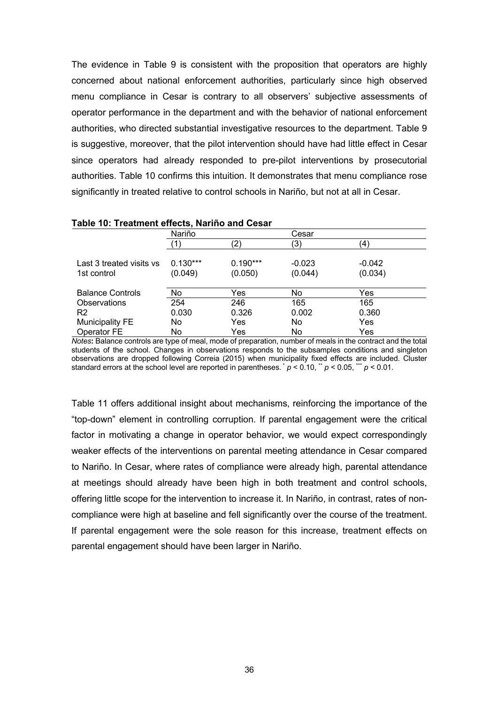The evidence in Table 9 is consistent with the proposition that operators are highly concerned about national enforcement authorities, particularly since high observed menu compliance in Cesar is contrary to all observers' subjective assessments of operator performance in the department and with the behavior of national enforcement authorities, who directed substantial investigative resources to the department. Table 9 is suggestive, moreover, that the pilot intervention should have had little effect in Cesar since operators had already responded to pre-pilot interventions by prosecutorial authorities. Table 10 confirms this intuition. It demonstrates that menu compliance rose significantly in treated relative to control schools in Nariño, but not at all in Cesar.

|                                         | Nariño                |                       | Cesar               |                     |
|-----------------------------------------|-----------------------|-----------------------|---------------------|---------------------|
|                                         |                       | '2)                   | (3)                 | ΄4                  |
| Last 3 treated visits vs<br>1st control | $0.130***$<br>(0.049) | $0.190***$<br>(0.050) | $-0.023$<br>(0.044) | $-0.042$<br>(0.034) |
| <b>Balance Controls</b>                 | No                    | Yes                   | No.                 | Yes                 |
| Observations                            | 254                   | 246                   | 165                 | 165                 |
| R <sub>2</sub>                          | 0.030                 | 0.326                 | 0.002               | 0.360               |
| <b>Municipality FE</b>                  | No.                   | Yes                   | No.                 | Yes                 |
| Operator FE                             | No                    | Yes                   | No                  | Yes                 |

**Table 10: Treatment effects, Nariño and Cesar**

*Notes***:** Balance controls are type of meal, mode of preparation, number of meals in the contract and the total students of the school. Changes in observations responds to the subsamples conditions and singleton observations are dropped following Correia (2015) when municipality fixed effects are included. Cluster standard errors at the school level are reported in parentheses.  $p < 0.10$ ,  $p < 0.05$ ,  $p < 0.01$ .

Table 11 offers additional insight about mechanisms, reinforcing the importance of the "top-down" element in controlling corruption. If parental engagement were the critical factor in motivating a change in operator behavior, we would expect correspondingly weaker effects of the interventions on parental meeting attendance in Cesar compared to Nariño. In Cesar, where rates of compliance were already high, parental attendance at meetings should already have been high in both treatment and control schools, offering little scope for the intervention to increase it. In Nariño, in contrast, rates of noncompliance were high at baseline and fell significantly over the course of the treatment. If parental engagement were the sole reason for this increase, treatment effects on parental engagement should have been larger in Nariño.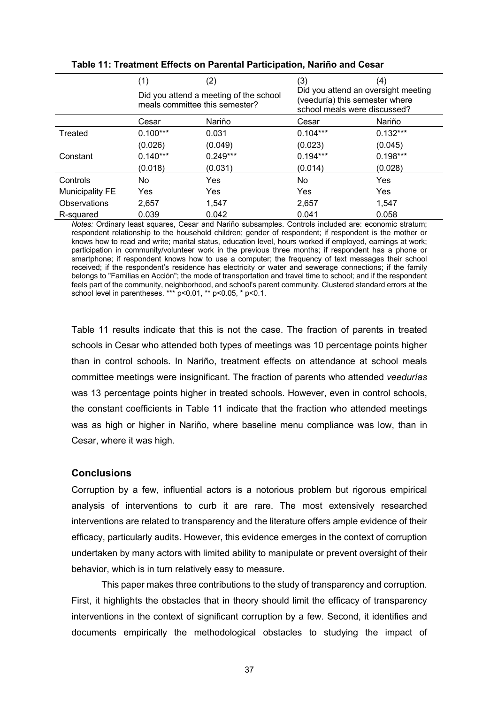|                        | (1)                                                                      | (2)        | (3)                                                                                                   | (4)        |  |
|------------------------|--------------------------------------------------------------------------|------------|-------------------------------------------------------------------------------------------------------|------------|--|
|                        | Did you attend a meeting of the school<br>meals committee this semester? |            | Did you attend an oversight meeting<br>(veeduría) this semester where<br>school meals were discussed? |            |  |
|                        | Cesar                                                                    | Nariño     | Cesar                                                                                                 | Nariño     |  |
| Treated                | $0.100***$                                                               | 0.031      | $0.104***$                                                                                            | $0.132***$ |  |
|                        | (0.026)                                                                  | (0.049)    | (0.023)                                                                                               | (0.045)    |  |
| Constant               | $0.140***$                                                               | $0.249***$ | $0.194***$                                                                                            | $0.198***$ |  |
|                        | (0.018)                                                                  | (0.031)    | (0.014)                                                                                               | (0.028)    |  |
| Controls               | No                                                                       | Yes        | <b>No</b>                                                                                             | <b>Yes</b> |  |
| <b>Municipality FE</b> | Yes                                                                      | Yes        | Yes                                                                                                   | <b>Yes</b> |  |
| Observations           | 2,657                                                                    | 1,547      | 2,657                                                                                                 | 1,547      |  |
| R-squared              | 0.039                                                                    | 0.042      | 0.041                                                                                                 | 0.058      |  |

#### **Table 11: Treatment Effects on Parental Participation, Nariño and Cesar**

*Notes:* Ordinary least squares, Cesar and Nariño subsamples. Controls included are: economic stratum; respondent relationship to the household children; gender of respondent; if respondent is the mother or knows how to read and write; marital status, education level, hours worked if employed, earnings at work; participation in community/volunteer work in the previous three months; if respondent has a phone or smartphone; if respondent knows how to use a computer; the frequency of text messages their school received; if the respondent's residence has electricity or water and sewerage connections; if the family belongs to "Familias en Acción"; the mode of transportation and travel time to school; and if the respondent feels part of the community, neighborhood, and school's parent community. Clustered standard errors at the school level in parentheses. \*\*\* p<0.01, \*\* p<0.05, \* p<0.1.

Table 11 results indicate that this is not the case. The fraction of parents in treated schools in Cesar who attended both types of meetings was 10 percentage points higher than in control schools. In Nariño, treatment effects on attendance at school meals committee meetings were insignificant. The fraction of parents who attended *veedurías* was 13 percentage points higher in treated schools. However, even in control schools, the constant coefficients in Table 11 indicate that the fraction who attended meetings was as high or higher in Nariño, where baseline menu compliance was low, than in Cesar, where it was high.

#### **Conclusions**

Corruption by a few, influential actors is a notorious problem but rigorous empirical analysis of interventions to curb it are rare. The most extensively researched interventions are related to transparency and the literature offers ample evidence of their efficacy, particularly audits. However, this evidence emerges in the context of corruption undertaken by many actors with limited ability to manipulate or prevent oversight of their behavior, which is in turn relatively easy to measure.

This paper makes three contributions to the study of transparency and corruption. First, it highlights the obstacles that in theory should limit the efficacy of transparency interventions in the context of significant corruption by a few. Second, it identifies and documents empirically the methodological obstacles to studying the impact of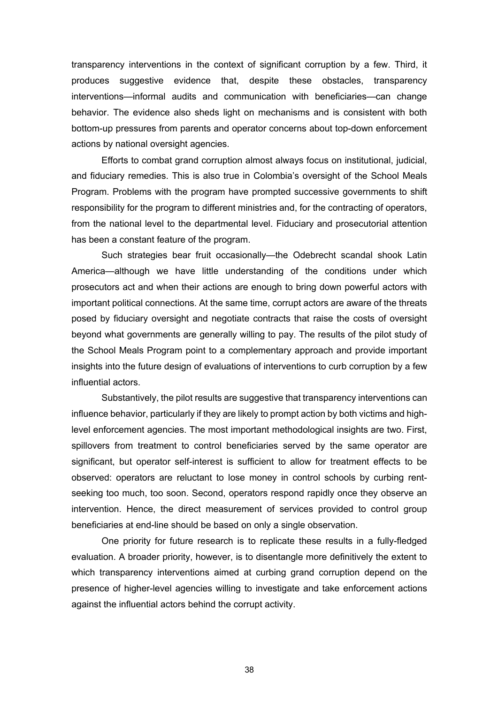transparency interventions in the context of significant corruption by a few. Third, it produces suggestive evidence that, despite these obstacles, transparency interventions—informal audits and communication with beneficiaries—can change behavior. The evidence also sheds light on mechanisms and is consistent with both bottom-up pressures from parents and operator concerns about top-down enforcement actions by national oversight agencies.

Efforts to combat grand corruption almost always focus on institutional, judicial, and fiduciary remedies. This is also true in Colombia's oversight of the School Meals Program. Problems with the program have prompted successive governments to shift responsibility for the program to different ministries and, for the contracting of operators, from the national level to the departmental level. Fiduciary and prosecutorial attention has been a constant feature of the program.

Such strategies bear fruit occasionally—the Odebrecht scandal shook Latin America—although we have little understanding of the conditions under which prosecutors act and when their actions are enough to bring down powerful actors with important political connections. At the same time, corrupt actors are aware of the threats posed by fiduciary oversight and negotiate contracts that raise the costs of oversight beyond what governments are generally willing to pay. The results of the pilot study of the School Meals Program point to a complementary approach and provide important insights into the future design of evaluations of interventions to curb corruption by a few influential actors.

Substantively, the pilot results are suggestive that transparency interventions can influence behavior, particularly if they are likely to prompt action by both victims and highlevel enforcement agencies. The most important methodological insights are two. First, spillovers from treatment to control beneficiaries served by the same operator are significant, but operator self-interest is sufficient to allow for treatment effects to be observed: operators are reluctant to lose money in control schools by curbing rentseeking too much, too soon. Second, operators respond rapidly once they observe an intervention. Hence, the direct measurement of services provided to control group beneficiaries at end-line should be based on only a single observation.

One priority for future research is to replicate these results in a fully-fledged evaluation. A broader priority, however, is to disentangle more definitively the extent to which transparency interventions aimed at curbing grand corruption depend on the presence of higher-level agencies willing to investigate and take enforcement actions against the influential actors behind the corrupt activity.

38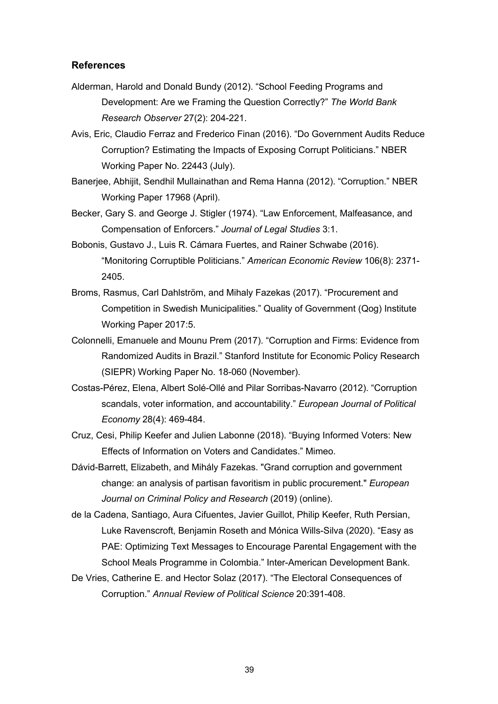#### **References**

- Alderman, Harold and Donald Bundy (2012). "School Feeding Programs and Development: Are we Framing the Question Correctly?" *The World Bank Research Observer* 27(2): 204-221.
- Avis, Eric, Claudio Ferraz and Frederico Finan (2016). "Do Government Audits Reduce Corruption? Estimating the Impacts of Exposing Corrupt Politicians." NBER Working Paper No. 22443 (July).
- Banerjee, Abhijit, Sendhil Mullainathan and Rema Hanna (2012). "Corruption." NBER Working Paper 17968 (April).
- Becker, Gary S. and George J. Stigler (1974). "Law Enforcement, Malfeasance, and Compensation of Enforcers." *Journal of Legal Studies* 3:1.
- Bobonis, Gustavo J., Luis R. Cámara Fuertes, and Rainer Schwabe (2016). "Monitoring Corruptible Politicians." *American Economic Review* 106(8): 2371- 2405.
- Broms, Rasmus, Carl Dahlström, and Mihaly Fazekas (2017). "Procurement and Competition in Swedish Municipalities." Quality of Government (Qog) Institute Working Paper 2017:5.
- Colonnelli, Emanuele and Mounu Prem (2017). "Corruption and Firms: Evidence from Randomized Audits in Brazil." Stanford Institute for Economic Policy Research (SIEPR) Working Paper No. 18-060 (November).
- Costas-Pérez, Elena, Albert Solé-Ollé and Pilar Sorribas-Navarro (2012). "Corruption scandals, voter information, and accountability." *European Journal of Political Economy* 28(4): 469-484.
- Cruz, Cesi, Philip Keefer and Julien Labonne (2018). "Buying Informed Voters: New Effects of Information on Voters and Candidates." Mimeo.
- Dávid-Barrett, Elizabeth, and Mihály Fazekas. "Grand corruption and government change: an analysis of partisan favoritism in public procurement." *European Journal on Criminal Policy and Research* (2019) (online).
- de la Cadena, Santiago, Aura Cifuentes, Javier Guillot, Philip Keefer, Ruth Persian, Luke Ravenscroft, Benjamin Roseth and Mónica Wills-Silva (2020). "Easy as PAE: Optimizing Text Messages to Encourage Parental Engagement with the School Meals Programme in Colombia." Inter-American Development Bank.
- De Vries, Catherine E. and Hector Solaz (2017). "The Electoral Consequences of Corruption." *Annual Review of Political Science* 20:391-408.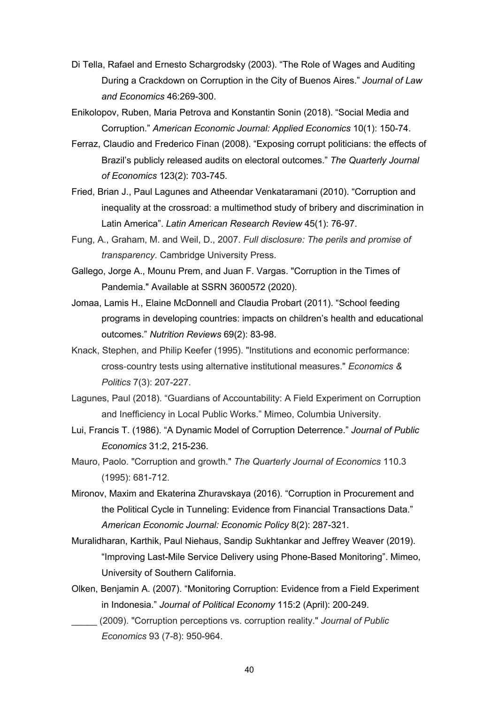- Di Tella, Rafael and Ernesto Schargrodsky (2003). "The Role of Wages and Auditing During a Crackdown on Corruption in the City of Buenos Aires." *Journal of Law and Economics* 46:269-300.
- Enikolopov, Ruben, Maria Petrova and Konstantin Sonin (2018). "Social Media and Corruption." *American Economic Journal: Applied Economics* 10(1): 150-74.
- Ferraz, Claudio and Frederico Finan (2008). "Exposing corrupt politicians: the effects of Brazil's publicly released audits on electoral outcomes." *The Quarterly Journal of Economics* 123(2): 703-745.
- Fried, Brian J., Paul Lagunes and Atheendar Venkataramani (2010). "Corruption and inequality at the crossroad: a multimethod study of bribery and discrimination in Latin America". *Latin American Research Review* 45(1): 76-97.
- Fung, A., Graham, M. and Weil, D., 2007. *Full disclosure: The perils and promise of transparency*. Cambridge University Press.
- Gallego, Jorge A., Mounu Prem, and Juan F. Vargas. "Corruption in the Times of Pandemia." Available at SSRN 3600572 (2020).
- Jomaa, Lamis H., Elaine McDonnell and Claudia Probart (2011). "School feeding programs in developing countries: impacts on children's health and educational outcomes." *Nutrition Reviews* 69(2): 83-98.
- Knack, Stephen, and Philip Keefer (1995). "Institutions and economic performance: cross-country tests using alternative institutional measures." *Economics & Politics* 7(3): 207-227.
- Lagunes, Paul (2018). "Guardians of Accountability: A Field Experiment on Corruption and Inefficiency in Local Public Works." Mimeo, Columbia University.
- Lui, Francis T. (1986). "A Dynamic Model of Corruption Deterrence." *Journal of Public Economics* 31:2, 215-236.
- Mauro, Paolo. "Corruption and growth." *The Quarterly Journal of Economics* 110.3 (1995): 681-712.
- Mironov, Maxim and Ekaterina Zhuravskaya (2016). "Corruption in Procurement and the Political Cycle in Tunneling: Evidence from Financial Transactions Data." *American Economic Journal: Economic Policy* 8(2): 287-321.
- Muralidharan, Karthik, Paul Niehaus, Sandip Sukhtankar and Jeffrey Weaver (2019). "Improving Last-Mile Service Delivery using Phone-Based Monitoring". Mimeo, University of Southern California.
- Olken, Benjamin A. (2007). "Monitoring Corruption: Evidence from a Field Experiment in Indonesia." *Journal of Political Economy* 115:2 (April): 200-249.
	- \_\_\_\_\_ (2009). "Corruption perceptions vs. corruption reality." *Journal of Public Economics* 93 (7-8): 950-964.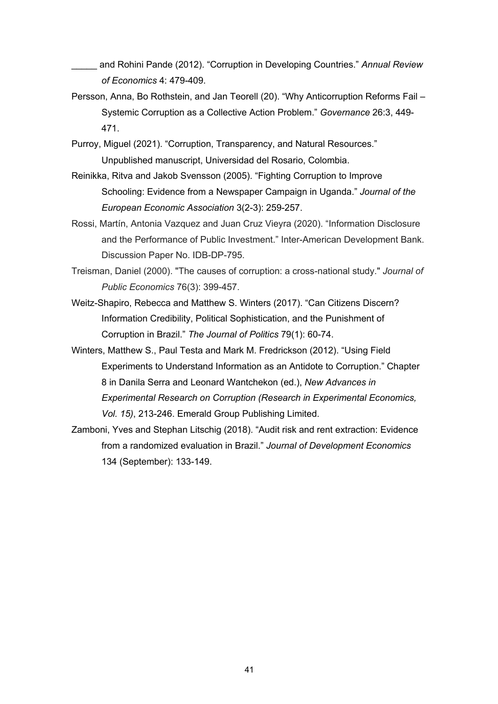\_\_\_\_\_ and Rohini Pande (2012). "Corruption in Developing Countries." *Annual Review of Economics* 4: 479-409.

- Persson, Anna, Bo Rothstein, and Jan Teorell (20). "Why Anticorruption Reforms Fail Systemic Corruption as a Collective Action Problem." *Governance* 26:3, 449- 471.
- Purroy, Miguel (2021). "Corruption, Transparency, and Natural Resources." Unpublished manuscript, Universidad del Rosario, Colombia.
- Reinikka, Ritva and Jakob Svensson (2005). "Fighting Corruption to Improve Schooling: Evidence from a Newspaper Campaign in Uganda." *Journal of the European Economic Association* 3(2-3): 259-257.
- Rossi, Martín, Antonia Vazquez and Juan Cruz Vieyra (2020). "Information Disclosure and the Performance of Public Investment." Inter-American Development Bank. Discussion Paper No. IDB-DP-795.
- Treisman, Daniel (2000). "The causes of corruption: a cross-national study." *Journal of Public Economics* 76(3): 399-457.
- Weitz-Shapiro, Rebecca and Matthew S. Winters (2017). "Can Citizens Discern? Information Credibility, Political Sophistication, and the Punishment of Corruption in Brazil." *The Journal of Politics* 79(1): 60-74.
- Winters, Matthew S., Paul Testa and Mark M. Fredrickson (2012). "Using Field Experiments to Understand Information as an Antidote to Corruption." Chapter 8 in Danila Serra and Leonard Wantchekon (ed.), *New Advances in Experimental Research on Corruption (Research in Experimental Economics, Vol. 15)*, 213-246. Emerald Group Publishing Limited.
- Zamboni, Yves and Stephan Litschig (2018). "Audit risk and rent extraction: Evidence from a randomized evaluation in Brazil." *Journal of Development Economics* 134 (September): 133-149.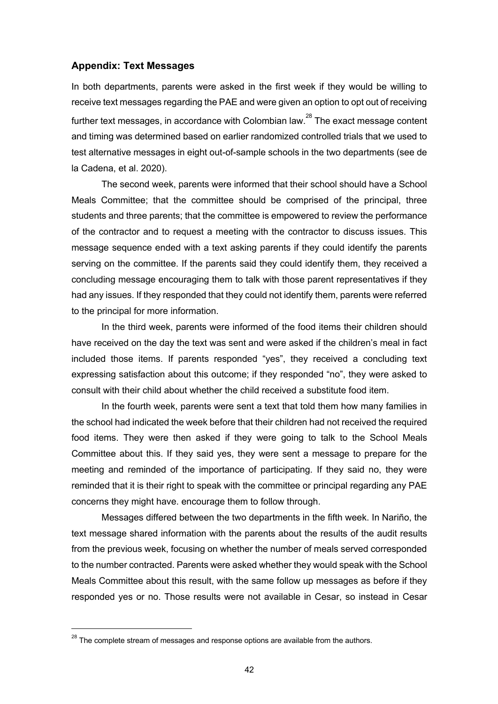#### **Appendix: Text Messages**

In both departments, parents were asked in the first week if they would be willing to receive text messages regarding the PAE and were given an option to opt out of receiving further text messages, in accordance with Colombian law.<sup>28</sup> The exact message content and timing was determined based on earlier randomized controlled trials that we used to test alternative messages in eight out-of-sample schools in the two departments (see de la Cadena, et al. 2020).

The second week, parents were informed that their school should have a School Meals Committee; that the committee should be comprised of the principal, three students and three parents; that the committee is empowered to review the performance of the contractor and to request a meeting with the contractor to discuss issues. This message sequence ended with a text asking parents if they could identify the parents serving on the committee. If the parents said they could identify them, they received a concluding message encouraging them to talk with those parent representatives if they had any issues. If they responded that they could not identify them, parents were referred to the principal for more information.

In the third week, parents were informed of the food items their children should have received on the day the text was sent and were asked if the children's meal in fact included those items. If parents responded "yes", they received a concluding text expressing satisfaction about this outcome; if they responded "no", they were asked to consult with their child about whether the child received a substitute food item.

In the fourth week, parents were sent a text that told them how many families in the school had indicated the week before that their children had not received the required food items. They were then asked if they were going to talk to the School Meals Committee about this. If they said yes, they were sent a message to prepare for the meeting and reminded of the importance of participating. If they said no, they were reminded that it is their right to speak with the committee or principal regarding any PAE concerns they might have. encourage them to follow through.

Messages differed between the two departments in the fifth week. In Nariño, the text message shared information with the parents about the results of the audit results from the previous week, focusing on whether the number of meals served corresponded to the number contracted. Parents were asked whether they would speak with the School Meals Committee about this result, with the same follow up messages as before if they responded yes or no. Those results were not available in Cesar, so instead in Cesar

 $^{28}$  The complete stream of messages and response options are available from the authors.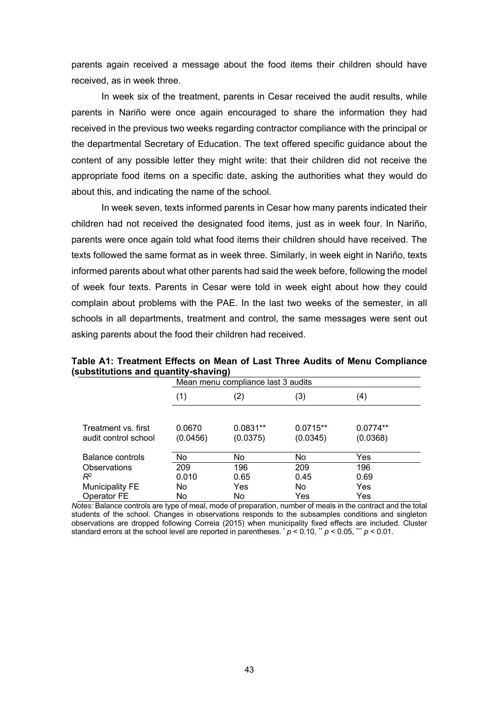parents again received a message about the food items their children should have received, as in week three.

In week six of the treatment, parents in Cesar received the audit results, while parents in Nariño were once again encouraged to share the information they had received in the previous two weeks regarding contractor compliance with the principal or the departmental Secretary of Education. The text offered specific guidance about the content of any possible letter they might write: that their children did not receive the appropriate food items on a specific date, asking the authorities what they would do about this, and indicating the name of the school.

In week seven, texts informed parents in Cesar how many parents indicated their children had not received the designated food items, just as in week four. In Nariño, parents were once again told what food items their children should have received. The texts followed the same format as in week three. Similarly, in week eight in Nariño, texts informed parents about what other parents had said the week before, following the model of week four texts. Parents in Cesar were told in week eight about how they could complain about problems with the PAE. In the last two weeks of the semester, in all schools in all departments, treatment and control, the same messages were sent out asking parents about the food their children had received.

|                                             | Mean menu compliance last 3 audits |                        |                        |                        |  |
|---------------------------------------------|------------------------------------|------------------------|------------------------|------------------------|--|
|                                             | (1)                                | (2)                    | (3)                    | (4)                    |  |
|                                             |                                    |                        |                        |                        |  |
| Treatment vs. first<br>audit control school | 0.0670<br>(0.0456)                 | $0.0831**$<br>(0.0375) | $0.0715**$<br>(0.0345) | $0.0774**$<br>(0.0368) |  |
|                                             |                                    |                        |                        |                        |  |
| Balance controls                            | No                                 | No                     | No                     | Yes                    |  |
| Observations                                | 209                                | 196                    | 209                    | 196                    |  |
| $R^2$                                       | 0.010                              | 0.65                   | 0.45                   | 0.69                   |  |
| <b>Municipality FE</b>                      | No                                 | Yes                    | No                     | Yes                    |  |
| Operator FE                                 | No                                 | No                     | Yes                    | Yes                    |  |

**Table A1: Treatment Effects on Mean of Last Three Audits of Menu Compliance (substitutions and quantity-shaving)**

*Notes:* Balance controls are type of meal, mode of preparation, number of meals in the contract and the total students of the school. Changes in observations responds to the subsamples conditions and singleton observations are dropped following Correia (2015) when municipality fixed effects are included. Cluster standard errors at the school level are reported in parentheses.  $p < 0.10$ ,  $p < 0.05$ ,  $p < 0.01$ .